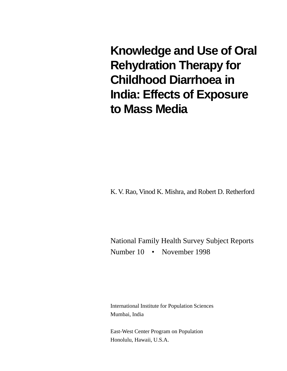**Knowledge and Use of Oral Rehydration Therapy for Childhood Diarrhoea in India: Effects of Exposure to Mass Media**

K. V. Rao, Vinod K. Mishra, and Robert D. Retherford

National Family Health Survey Subject Reports Number 10 • November 1998

International Institute for Population Sciences Mumbai, India

East-West Center Program on Population Honolulu, Hawaii, U.S.A.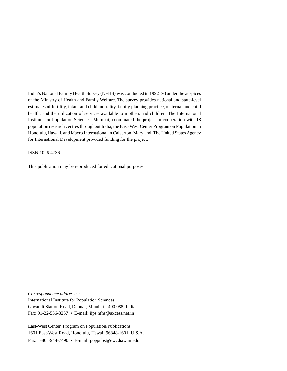India's National Family Health Survey (NFHS) was conducted in 1992–93 under the auspices of the Ministry of Health and Family Welfare. The survey provides national and state-level estimates of fertility, infant and child mortality, family planning practice, maternal and child health, and the utilization of services available to mothers and children. The International Institute for Population Sciences, Mumbai, coordinated the project in cooperation with 18 population research centres throughout India, the East-West Center Program on Population in Honolulu, Hawaii, and Macro International in Calverton, Maryland. The United States Agency for International Development provided funding for the project.

ISSN 1026-4736

This publication may be reproduced for educational purposes.

*Correspondence addresses:*

International Institute for Population Sciences Govandi Station Road, Deonar, Mumbai - 400 088, India Fax: 91-22-556-3257 • E-mail: iips.nfhs@axcess.net.in

East-West Center, Program on Population/Publications 1601 East-West Road, Honolulu, Hawaii 96848-1601, U.S.A. Fax: 1-808-944-7490 • E-mail: poppubs@ewc.hawaii.edu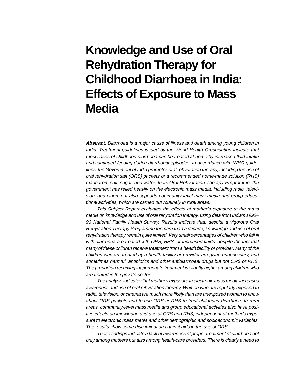# **Knowledge and Use of Oral Rehydration Therapy for Childhood Diarrhoea in India: Effects of Exposure to Mass Media**

**Abstract.** Diarrhoea is a major cause of illness and death among young children in India. Treatment guidelines issued by the World Health Organisation indicate that most cases of childhood diarrhoea can be treated at home by increased fluid intake and continued feeding during diarrhoeal episodes. In accordance with WHO guidelines, the Government of India promotes oral rehydration therapy, including the use of oral rehydration salt (ORS) packets or a recommended home-made solution (RHS) made from salt, sugar, and water. In its Oral Rehydration Therapy Programme, the government has relied heavily on the electronic mass media, including radio, television, and cinema. It also supports community-level mass media and group educational activities, which are carried out routinely in rural areas.

This Subject Report evaluates the effects of mother's exposure to the mass media on knowledge and use of oral rehydration therapy, using data from India's 1992– 93 National Family Health Survey. Results indicate that, despite a vigorous Oral Rehydration Therapy Programme for more than a decade, knowledge and use of oral rehydration therapy remain quite limited. Very small percentages of children who fall ill with diarrhoea are treated with ORS, RHS, or increased fluids, despite the fact that many of these children receive treatment from a health facility or provider. Many of the children who are treated by a health facility or provider are given unnecessary, and sometimes harmful, antibiotics and other antidiarrhoeal drugs but not ORS or RHS. The proportion receiving inappropriate treatment is slightly higher among children who are treated in the private sector.

The analysis indicates that mother's exposure to electronic mass media increases awareness and use of oral rehydration therapy. Women who are regularly exposed to radio, television, or cinema are much more likely than are unexposed women to know about ORS packets and to use ORS or RHS to treat childhood diarrhoea. In rural areas, community-level mass media and group educational activities also have positive effects on knowledge and use of ORS and RHS, independent of mother's exposure to electronic mass media and other demographic and socioeconomic variables. The results show some discrimination against girls in the use of ORS.

These findings indicate a lack of awareness of proper treatment of diarrhoea not only among mothers but also among health-care providers. There is clearly a need to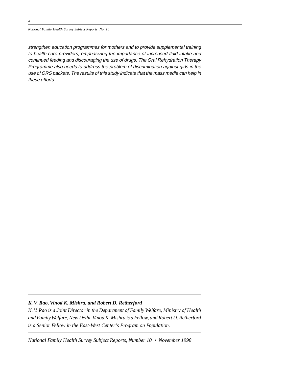*National Family Health Survey Subject Reports, No. 10*

strengthen education programmes for mothers and to provide supplemental training to health-care providers, emphasizing the importance of increased fluid intake and continued feeding and discouraging the use of drugs. The Oral Rehydration Therapy Programme also needs to address the problem of discrimination against girls in the use of ORS packets. The results of this study indicate that the mass media can help in these efforts.

# *K. V. Rao, Vinod K. Mishra, and Robert D. Retherford*

*K. V. Rao is a Joint Director in the Department of Family Welfare, Ministry of Health and Family Welfare, New Delhi. Vinod K. Mishra is a Fellow, and Robert D. Retherford is a Senior Fellow in the East-West Center's Program on Population.*

*National Family Health Survey Subject Reports, Number 10 • November 1998*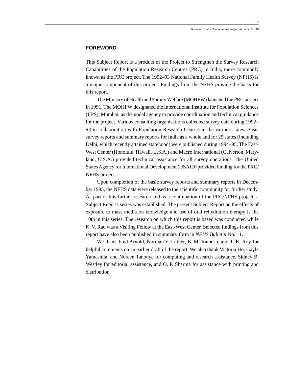# **FOREWORD**

This Subject Report is a product of the Project to Strengthen the Survey Research Capabilities of the Population Research Centres (PRC) in India, more commonly known as the PRC project. The 1992–93 National Family Health Survey (NFHS) is a major component of this project. Findings from the NFHS provide the basis for this report.

The Ministry of Health and Family Welfare (MOHFW) launched the PRC project in 1991. The MOHFW designated the International Institute for Population Sciences (IIPS), Mumbai, as the nodal agency to provide coordination and technical guidance for the project. Various consulting organisations collected survey data during 1992– 93 in collaboration with Population Research Centres in the various states. Basic survey reports and summary reports for India as a whole and for 25 states (including Delhi, which recently attained statehood) were published during 1994–95. The East-West Center (Honolulu, Hawaii, U.S.A.) and Macro International (Calverton, Maryland, U.S.A.) provided technical assistance for all survey operations. The United States Agency for International Development (USAID) provided funding for the PRC/ NFHS project.

Upon completion of the basic survey reports and summary reports in December 1995, the NFHS data were released to the scientific community for further study. As part of this further research and as a continuation of the PRC/NFHS project, a Subject Reports series was established. The present Subject Report on the effects of exposure to mass media on knowledge and use of oral rehydration therapy is the 10th in this series. The research on which this report is based was conducted while K. V. Rao was a Visiting Fellow at the East-West Center. Selected findings from this report have also been published in summary form in *NFHS Bulletin* No. 11.

We thank Fred Arnold, Norman Y. Luther, B. M. Ramesh, and T. K. Roy for helpful comments on an earlier draft of the report. We also thank Victoria Ho, Gayle Yamashita, and Noreen Tanouye for computing and research assistance, Sidney B. Westley for editorial assistance, and O. P. Sharma for assistance with printing and distribution.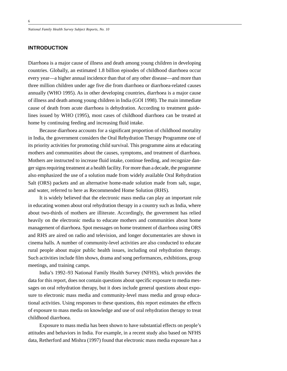*National Family Health Survey Subject Reports, No. 10*

# **INTRODUCTION**

Diarrhoea is a major cause of illness and death among young children in developing countries. Globally, an estimated 1.8 billion episodes of childhood diarrhoea occur every year—a higher annual incidence than that of any other disease—and more than three million children under age five die from diarrhoea or diarrhoea-related causes annually (WHO 1995). As in other developing countries, diarrhoea is a major cause of illness and death among young children in India (GOI 1998). The main immediate cause of death from acute diarrhoea is dehydration. According to treatment guidelines issued by WHO (1995), most cases of childhood diarrhoea can be treated at home by continuing feeding and increasing fluid intake.

Because diarrhoea accounts for a significant proportion of childhood mortality in India, the government considers the Oral Rehydration Therapy Programme one of its priority activities for promoting child survival. This programme aims at educating mothers and communities about the causes, symptoms, and treatment of diarrhoea. Mothers are instructed to increase fluid intake, continue feeding, and recognize danger signs requiring treatment at a health facility. For more than a decade, the programme also emphasized the use of a solution made from widely available Oral Rehydration Salt (ORS) packets and an alternative home-made solution made from salt, sugar, and water, referred to here as Recommended Home Solution (RHS).

It is widely believed that the electronic mass media can play an important role in educating women about oral rehydration therapy in a country such as India, where about two-thirds of mothers are illiterate. Accordingly, the government has relied heavily on the electronic media to educate mothers and communities about home management of diarrhoea. Spot messages on home treatment of diarrhoea using ORS and RHS are aired on radio and television, and longer documentaries are shown in cinema halls. A number of community-level activities are also conducted to educate rural people about major public health issues, including oral rehydration therapy. Such activities include film shows, drama and song performances, exhibitions, group meetings, and training camps.

India's 1992–93 National Family Health Survey (NFHS), which provides the data for this report, does not contain questions about specific exposure to media messages on oral rehydration therapy, but it does include general questions about exposure to electronic mass media and community-level mass media and group educational activities. Using responses to these questions, this report estimates the effects of exposure to mass media on knowledge and use of oral rehydration therapy to treat childhood diarrhoea.

Exposure to mass media has been shown to have substantial effects on people's attitudes and behaviors in India. For example, in a recent study also based on NFHS data, Retherford and Mishra (1997) found that electronic mass media exposure has a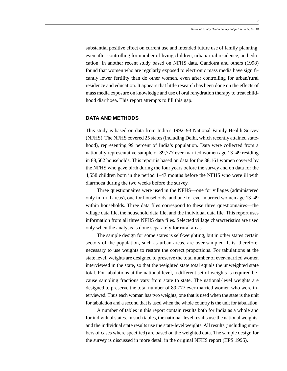substantial positive effect on current use and intended future use of family planning, even after controlling for number of living children, urban/rural residence, and education. In another recent study based on NFHS data, Gandotra and others (1998) found that women who are regularly exposed to electronic mass media have significantly lower fertility than do other women, even after controlling for urban/rural residence and education. It appears that little research has been done on the effects of mass media exposure on knowledge and use of oral rehydration therapy to treat childhood diarrhoea. This report attempts to fill this gap.

# **DATA AND METHODS**

This study is based on data from India's 1992–93 National Family Health Survey (NFHS). The NFHS covered 25 states (including Delhi, which recently attained statehood), representing 99 percent of India's population. Data were collected from a nationally representative sample of 89,777 ever-married women age 13–49 residing in 88,562 households. This report is based on data for the 38,161 women covered by the NFHS who gave birth during the four years before the survey and on data for the 4,558 children born in the period 1–47 months before the NFHS who were ill with diarrhoea during the two weeks before the survey.

Three questionnaires were used in the NFHS—one for villages (administered only in rural areas), one for households, and one for ever-married women age 13–49 within households. Three data files correspond to these three questionnaires—the village data file, the household data file, and the individual data file. This report uses information from all three NFHS data files. Selected village characteristics are used only when the analysis is done separately for rural areas.

The sample design for some states is self-weighting, but in other states certain sectors of the population, such as urban areas, are over-sampled. It is, therefore, necessary to use weights to restore the correct proportions. For tabulations at the state level, weights are designed to preserve the total number of ever-married women interviewed in the state, so that the weighted state total equals the unweighted state total. For tabulations at the national level, a different set of weights is required because sampling fractions vary from state to state. The national-level weights are designed to preserve the total number of 89,777 ever-married women who were interviewed. Thus each woman has two weights, one that is used when the state is the unit for tabulation and a second that is used when the whole country is the unit for tabulation.

A number of tables in this report contain results both for India as a whole and for individual states. In such tables, the national-level results use the national weights, and the individual state results use the state-level weights. All results (including numbers of cases where specified) are based on the weighted data. The sample design for the survey is discussed in more detail in the original NFHS report (IIPS 1995).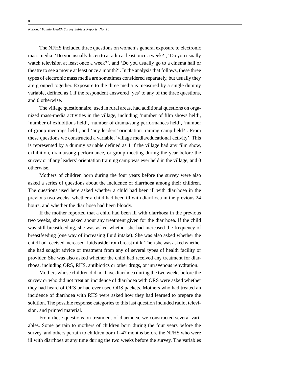The NFHS included three questions on women's general exposure to electronic mass media: 'Do you usually listen to a radio at least once a week?', 'Do you usually watch television at least once a week?', and 'Do you usually go to a cinema hall or theatre to see a movie at least once a month?'. In the analysis that follows, these three types of electronic mass media are sometimes considered separately, but usually they are grouped together. Exposure to the three media is measured by a single dummy variable, defined as 1 if the respondent answered 'yes' to any of the three questions, and 0 otherwise.

The village questionnaire, used in rural areas, had additional questions on organized mass-media activities in the village, including 'number of film shows held', 'number of exhibitions held', 'number of drama/song performances held', 'number of group meetings held', and 'any leaders' orientation training camp held?'. From these questions we constructed a variable, 'village media/educational activity'. This is represented by a dummy variable defined as 1 if the village had any film show, exhibition, drama/song performance, or group meeting during the year before the survey or if any leaders' orientation training camp was ever held in the village, and 0 otherwise.

Mothers of children born during the four years before the survey were also asked a series of questions about the incidence of diarrhoea among their children. The questions used here asked whether a child had been ill with diarrhoea in the previous two weeks, whether a child had been ill with diarrhoea in the previous 24 hours, and whether the diarrhoea had been bloody.

If the mother reported that a child had been ill with diarrhoea in the previous two weeks, she was asked about any treatment given for the diarrhoea. If the child was still breastfeeding, she was asked whether she had increased the frequency of breastfeeding (one way of increasing fluid intake). She was also asked whether the child had received increased fluids aside from breast milk. Then she was asked whether she had sought advice or treatment from any of several types of health facility or provider. She was also asked whether the child had received any treatment for diarrhoea, including ORS, RHS, antibiotics or other drugs, or intravenous rehydration.

Mothers whose children did not have diarrhoea during the two weeks before the survey or who did not treat an incidence of diarrhoea with ORS were asked whether they had heard of ORS or had ever used ORS packets. Mothers who had treated an incidence of diarrhoea with RHS were asked how they had learned to prepare the solution. The possible response categories to this last question included radio, television, and printed material.

From these questions on treatment of diarrhoea, we constructed several variables. Some pertain to mothers of children born during the four years before the survey, and others pertain to children born 1–47 months before the NFHS who were ill with diarrhoea at any time during the two weeks before the survey. The variables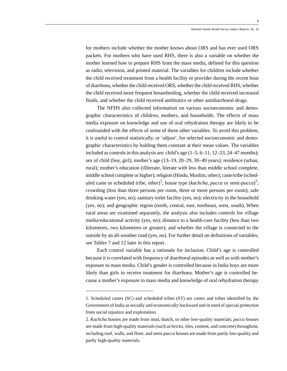for mothers include whether the mother knows about ORS and has ever used ORS packets. For mothers who have used RHS, there is also a variable on whether the mother learned how to prepare RHS from the mass media, defined for this question as radio, television, and printed material. The variables for children include whether the child received treatment from a health facility or provider during the recent bout of diarrhoea, whether the child received ORS, whether the child received RHS, whether the child received more frequent breastfeeding, whether the child received increased fluids, and whether the child received antibiotics or other antidiarrhoeal drugs.

The NFHS also collected information on various socioeconomic and demographic characteristics of children, mothers, and households. The effects of mass media exposure on knowledge and use of oral rehydration therapy are likely to be confounded with the effects of some of these other variables. To avoid this problem, it is useful to control statistically, or 'adjust', for selected socioeconomic and demographic characteristics by holding them constant at their mean values. The variables included as controls in this analysis are: child's age  $(1-5, 6-11, 12-23, 24-47,$  months); sex of child (boy, girl); mother's age (13–19, 20–29, 30–49 years); residence (urban, rural); mother's education (illiterate, literate with less than middle school complete, middle school complete or higher); religion (Hindu, Muslim, other); caste/tribe (scheduled caste or scheduled tribe, other)<sup>1</sup>; house type (*kachcha*, *pucca* or semi-*pucca*)<sup>2</sup>; crowding (less than three persons per room, three or more persons per room); safe drinking water (yes, no); sanitary toilet facility (yes, no); electricity in the household (yes, no); and geographic region (north, central, east, northeast, west, south). When rural areas are examined separately, the analysis also includes controls for village media/educational activity (yes, no); distance to a health-care facility (less than two kilometres, two kilometres or greater); and whether the village is connected to the outside by an all-weather road (yes, no). For further detail on definitions of variables, see Tables 7 and 12 later in this report.

Each control variable has a rationale for inclusion. Child's age is controlled because it is correlated with frequency of diarrhoeal episodes as well as with mother's exposure to mass media. Child's gender is controlled because in India boys are more likely than girls to receive treatment for diarrhoea. Mother's age is controlled because a mother's exposure to mass media and knowledge of oral rehydration therapy

<sup>1.</sup> Scheduled castes (SC) and scheduled tribes (ST) are castes and tribes identified by the Government of India as socially and economically backward and in need of special protection from social injustice and exploitation.

<sup>2.</sup> *Kachcha* houses are made from mud, thatch, or other low-quality materials; *pucca* houses are made from high-quality materials (such as bricks, tiles, cement, and concrete) throughout, including roof, walls, and floor; and semi-*pucca* houses are made from partly low-quality and partly high-quality materials.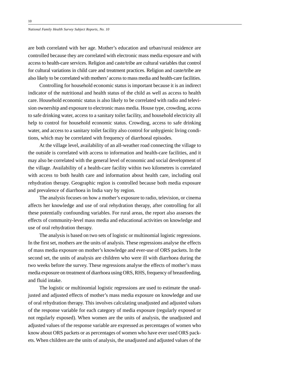are both correlated with her age. Mother's education and urban/rural residence are controlled because they are correlated with electronic mass media exposure and with access to health-care services. Religion and caste/tribe are cultural variables that control for cultural variations in child care and treatment practices. Religion and caste/tribe are also likely to be correlated with mothers' access to mass media and health-care facilities.

Controlling for household economic status is important because it is an indirect indicator of the nutritional and health status of the child as well as access to health care. Household economic status is also likely to be correlated with radio and television ownership and exposure to electronic mass media. House type, crowding, access to safe drinking water, access to a sanitary toilet facility, and household electricity all help to control for household economic status. Crowding, access to safe drinking water, and access to a sanitary toilet facility also control for unhygienic living conditions, which may be correlated with frequency of diarrhoeal episodes.

At the village level, availability of an all-weather road connecting the village to the outside is correlated with access to information and health-care facilities, and it may also be correlated with the general level of economic and social development of the village. Availability of a health-care facility within two kilometres is correlated with access to both health care and information about health care, including oral rehydration therapy. Geographic region is controlled because both media exposure and prevalence of diarrhoea in India vary by region.

The analysis focuses on how a mother's exposure to radio, television, or cinema affects her knowledge and use of oral rehydration therapy, after controlling for all these potentially confounding variables. For rural areas, the report also assesses the effects of community-level mass media and educational activities on knowledge and use of oral rehydration therapy.

The analysis is based on two sets of logistic or multinomial logistic regressions. In the first set, mothers are the units of analysis. These regressions analyse the effects of mass media exposure on mother's knowledge and ever-use of ORS packets. In the second set, the units of analysis are children who were ill with diarrhoea during the two weeks before the survey. These regressions analyse the effects of mother's mass media exposure on treatment of diarrhoea using ORS, RHS, frequency of breastfeeding, and fluid intake.

The logistic or multinomial logistic regressions are used to estimate the unadjusted and adjusted effects of mother's mass media exposure on knowledge and use of oral rehydration therapy. This involves calculating unadjusted and adjusted values of the response variable for each category of media exposure (regularly exposed or not regularly exposed). When women are the units of analysis, the unadjusted and adjusted values of the response variable are expressed as percentages of women who know about ORS packets or as percentages of women who have ever used ORS packets. When children are the units of analysis, the unadjusted and adjusted values of the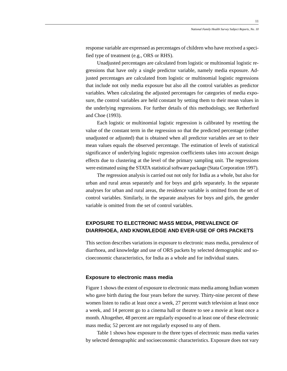response variable are expressed as percentages of children who have received a specified type of treatment (e.g., ORS or RHS).

Unadjusted percentages are calculated from logistic or multinomial logistic regressions that have only a single predictor variable, namely media exposure. Adjusted percentages are calculated from logistic or multinomial logistic regressions that include not only media exposure but also all the control variables as predictor variables. When calculating the adjusted percentages for categories of media exposure, the control variables are held constant by setting them to their mean values in the underlying regressions. For further details of this methodology, see Retherford and Choe (1993).

Each logistic or multinomial logistic regression is calibrated by resetting the value of the constant term in the regression so that the predicted percentage (either unadjusted or adjusted) that is obtained when all predictor variables are set to their mean values equals the observed percentage. The estimation of levels of statistical significance of underlying logistic regression coefficients takes into account design effects due to clustering at the level of the primary sampling unit. The regressions were estimated using the STATA statistical software package (Stata Corporation 1997).

The regression analysis is carried out not only for India as a whole, but also for urban and rural areas separately and for boys and girls separately. In the separate analyses for urban and rural areas, the residence variable is omitted from the set of control variables. Similarly, in the separate analyses for boys and girls, the gender variable is omitted from the set of control variables.

# **EXPOSURE TO ELECTRONIC MASS MEDIA, PREVALENCE OF DIARRHOEA, AND KNOWLEDGE AND EVER-USE OF ORS PACKETS**

This section describes variations in exposure to electronic mass media, prevalence of diarrhoea, and knowledge and use of ORS packets by selected demographic and socioeconomic characteristics, for India as a whole and for individual states.

## **Exposure to electronic mass media**

Figure 1 shows the extent of exposure to electronic mass media among Indian women who gave birth during the four years before the survey. Thirty-nine percent of these women listen to radio at least once a week, 27 percent watch television at least once a week, and 14 percent go to a cinema hall or theatre to see a movie at least once a month. Altogether, 48 percent are regularly exposed to at least one of these electronic mass media; 52 percent are not regularly exposed to any of them.

Table 1 shows how exposure to the three types of electronic mass media varies by selected demographic and socioeconomic characteristics. Exposure does not vary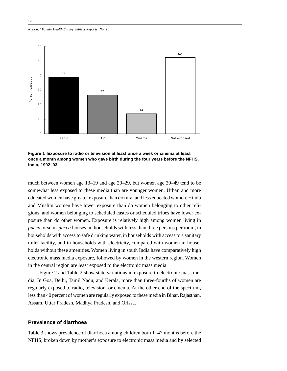*National Family Health Survey Subject Reports, No. 10*



**Figure 1 Exposure to radio or television at least once a week or cinema at least once a month among women who gave birth during the four years before the NFHS, India, 1992–93**

much between women age 13–19 and age 20–29, but women age 30–49 tend to be somewhat less exposed to these media than are younger women. Urban and more educated women have greater exposure than do rural and less educated women. Hindu and Muslim women have lower exposure than do women belonging to other religions, and women belonging to scheduled castes or scheduled tribes have lower exposure than do other women. Exposure is relatively high among women living in *pucca* or semi-*pucca* houses, in households with less than three persons per room, in households with access to safe drinking water, in households with access to a sanitary toilet facility, and in households with electricity, compared with women in households without these amenities. Women living in south India have comparatively high electronic mass media exposure, followed by women in the western region. Women in the central region are least exposed to the electronic mass media.

Figure 2 and Table 2 show state variations in exposure to electronic mass media. In Goa, Delhi, Tamil Nadu, and Kerala, more than three-fourths of women are regularly exposed to radio, television, or cinema. At the other end of the spectrum, less than 40 percent of women are regularly exposed to these media in Bihar, Rajasthan, Assam, Uttar Pradesh, Madhya Pradesh, and Orissa.

# **Prevalence of diarrhoea**

Table 3 shows prevalence of diarrhoea among children born 1–47 months before the NFHS, broken down by mother's exposure to electronic mass media and by selected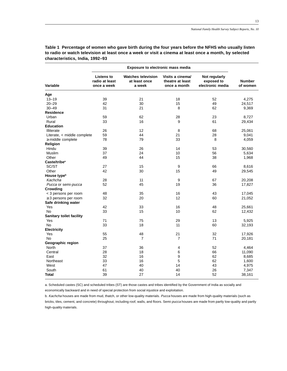|                                 | Exposure to electronic mass media                  |                                                      |                                                      |                                                 |                           |
|---------------------------------|----------------------------------------------------|------------------------------------------------------|------------------------------------------------------|-------------------------------------------------|---------------------------|
| Variable                        | <b>Listens to</b><br>radio at least<br>once a week | <b>Watches television</b><br>at least once<br>a week | Visits a cinema/<br>theatre at least<br>once a month | Not regularly<br>exposed to<br>electronic media | <b>Number</b><br>of women |
| Age                             |                                                    |                                                      |                                                      |                                                 |                           |
| $13 - 19$                       | 39                                                 | 21                                                   | 18                                                   | 52                                              | 4,275                     |
| $20 - 29$                       | 42                                                 | 30                                                   | 15                                                   | 49                                              | 24,517                    |
| $30 - 49$                       | 31                                                 | 21                                                   | 8                                                    | 62                                              | 9,369                     |
| <b>Residence</b>                |                                                    |                                                      |                                                      |                                                 |                           |
| Urban                           | 59                                                 | 62                                                   | 28                                                   | 23                                              | 8,727                     |
| Rural                           | 33                                                 | 16                                                   | 9                                                    | 61                                              | 29,434                    |
| <b>Education</b>                |                                                    |                                                      |                                                      |                                                 |                           |
| Illiterate                      | 26                                                 | 12                                                   | 8                                                    | 68                                              | 25,061                    |
| Literate, < middle complete     | 59                                                 | 44                                                   | 21                                                   | 28                                              | 9,041                     |
| $\geq$ middle complete          | 78                                                 | 79                                                   | 33                                                   | 8                                               | 4,059                     |
| Religion                        |                                                    |                                                      |                                                      |                                                 |                           |
| Hindu                           | 39                                                 | 26                                                   | 14                                                   | 53                                              | 30,560                    |
| Muslim                          | 37                                                 | 24                                                   | 10                                                   | 56                                              | 5,634                     |
| Other                           | 49                                                 | 44                                                   | 15                                                   | 38                                              | 1,968                     |
| Caste/tribe <sup>a</sup>        |                                                    |                                                      |                                                      |                                                 |                           |
| SC/ST                           | 27                                                 | 15                                                   | 9                                                    | 66                                              | 8,616                     |
| Other                           | 42                                                 | 30                                                   | 15                                                   | 49                                              | 29,545                    |
| House type <sup>b</sup>         |                                                    |                                                      |                                                      |                                                 |                           |
| Kachcha                         | 28                                                 | 11                                                   | 9                                                    | 67                                              | 20,208                    |
| Pucca or semi-pucca             | 52                                                 | 45                                                   | 19                                                   | 36                                              | 17,827                    |
| Crowding                        |                                                    |                                                      |                                                      |                                                 |                           |
| < 3 persons per room            | 48                                                 | 35                                                   | 16                                                   | 43                                              | 17,045                    |
| $\geq$ 3 persons per room       | 32                                                 | 20                                                   | 12                                                   | 60                                              | 21,052                    |
| Safe drinking water             |                                                    |                                                      |                                                      |                                                 |                           |
| Yes                             | 42                                                 | 33                                                   | 16                                                   | 48                                              | 25,661                    |
| No                              | 33                                                 | 15                                                   | 10                                                   | 62                                              |                           |
| <b>Sanitary toilet facility</b> |                                                    |                                                      |                                                      |                                                 | 12,432                    |
| Yes                             | 71                                                 | 75                                                   | 29                                                   | 13                                              | 5,925                     |
| No                              | 33                                                 | 18                                                   | 11                                                   | 60                                              |                           |
| <b>Electricity</b>              |                                                    |                                                      |                                                      |                                                 | 32,193                    |
|                                 |                                                    |                                                      |                                                      |                                                 |                           |
| Yes                             | 55                                                 | 48                                                   | 21                                                   | 32                                              | 17,926                    |
| No                              | 25                                                 | 7                                                    | 7                                                    | 71                                              | 20,181                    |
| Geographic region               |                                                    |                                                      |                                                      |                                                 |                           |
| North                           | 37                                                 | 36                                                   | 4                                                    | 52                                              | 4,464                     |
| Central                         | 28                                                 | 18                                                   | 6                                                    | 66                                              | 11,090                    |
| East                            | 32                                                 | 16                                                   | 9                                                    | 62                                              | 8,685                     |
| Northeast                       | 33                                                 | 16                                                   | 5                                                    | 62                                              | 1,600                     |
| West                            | 47                                                 | 40                                                   | 14                                                   | 43                                              | 4,975                     |
| South                           | 61                                                 | 40                                                   | 40                                                   | 26                                              | 7,347                     |
| Total                           | 39                                                 | 27                                                   | 14                                                   | 52                                              | 38,161                    |

**Table 1 Percentage of women who gave birth during the four years before the NFHS who usually listen to radio or watch television at least once a week or visit a cinema at least once a month, by selected characteristics, India, 1992–93**

a. Scheduled castes (SC) and scheduled tribes (ST) are those castes and tribes identified by the Government of India as socially and economically backward and in need of special protection from social injustice and exploitation.

b. Kachcha houses are made from mud, thatch, or other low-quality materials. Pucca houses are made from high-quality materials (such as bricks, tiles, cement, and concrete) throughout, including roof, walls, and floors. Semi-pucca houses are made from partly low-quality and partly high-quality materials.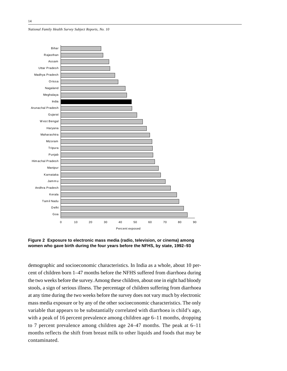*National Family Health Survey Subject Reports, No. 10*





demographic and socioeconomic characteristics. In India as a whole, about 10 percent of children born 1–47 months before the NFHS suffered from diarrhoea during the two weeks before the survey. Among these children, about one in eight had bloody stools, a sign of serious illness. The percentage of children suffering from diarrhoea at any time during the two weeks before the survey does not vary much by electronic mass media exposure or by any of the other socioeconomic characteristics. The only variable that appears to be substantially correlated with diarrhoea is child's age, with a peak of 16 percent prevalence among children age 6–11 months, dropping to 7 percent prevalence among children age 24–47 months. The peak at 6–11 months reflects the shift from breast milk to other liquids and foods that may be contaminated.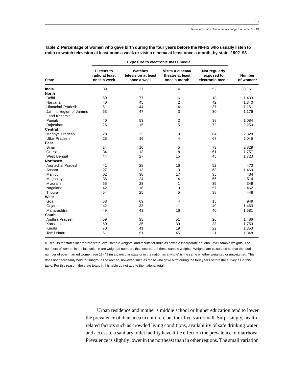| Exposure to electronic mass media    |                                                    |                                                      |                                                      |                                                 |                                        |
|--------------------------------------|----------------------------------------------------|------------------------------------------------------|------------------------------------------------------|-------------------------------------------------|----------------------------------------|
| <b>State</b>                         | <b>Listens to</b><br>radio at least<br>once a week | <b>Watches</b><br>television at least<br>once a week | Visits a cinema/<br>theatre at least<br>once a month | Not regularly<br>exposed to<br>electronic media | <b>Number</b><br>of women <sup>a</sup> |
| India                                | 39                                                 | 27                                                   | 14                                                   | 52                                              | 38,161                                 |
| <b>North</b>                         |                                                    |                                                      |                                                      |                                                 |                                        |
| Delhi                                | 59                                                 | 77                                                   | 6                                                    | 18                                              | 1,433                                  |
| Haryana                              | 40                                                 | 45                                                   | $\overline{2}$                                       | 42                                              | 1,340                                  |
| <b>Himachal Pradesh</b>              | 51                                                 | 44                                                   | $\overline{4}$                                       | 37                                              | 1,151                                  |
| Jammu region of Jammu<br>and Kashmir | 63                                                 | 47                                                   | 3                                                    | 30                                              | 1,176                                  |
| Punjab                               | 40                                                 | 53                                                   | 2                                                    | 38                                              | 1,084                                  |
| Rajasthan                            | 26                                                 | 15                                                   | 5                                                    | 72                                              | 2,250                                  |
| Central                              |                                                    |                                                      |                                                      |                                                 |                                        |
| Madhya Pradesh                       | 28                                                 | 23                                                   | 9                                                    | 64                                              | 2,828                                  |
| <b>Uttar Pradesh</b>                 | 28                                                 | 16                                                   | 4                                                    | 67                                              | 6,045                                  |
| East                                 |                                                    |                                                      |                                                      |                                                 |                                        |
| <b>Bihar</b>                         | 24                                                 | 10                                                   | 5                                                    | 73                                              | 2,829                                  |
| Orissa                               | 34                                                 | 13                                                   | 8                                                    | 61                                              | 1,757                                  |
| West Bengal                          | 44                                                 | 27                                                   | 15                                                   | 45                                              | 1,723                                  |
| <b>Northeast</b>                     |                                                    |                                                      |                                                      |                                                 |                                        |
| Arunachal Pradesh                    | 41                                                 | 28                                                   | 16                                                   | 52                                              | 473                                    |
| Assam                                | 27                                                 | 13                                                   | 3                                                    | 68                                              | 1,469                                  |
| Manipur                              | 62                                                 | 38                                                   | 17                                                   | 35                                              | 434                                    |
| Meghalaya                            | 36                                                 | 24                                                   | 4                                                    | 56                                              | 514                                    |
| <b>Mizoram</b>                       | 55                                                 | 28                                                   | 1                                                    | 39                                              | 349                                    |
| Nagaland                             | 42                                                 | 16                                                   | $\mathbf 0$                                          | 57                                              | 462                                    |
| Tripura                              | 54                                                 | 25                                                   | 5                                                    | 38                                              | 448                                    |
| West                                 |                                                    |                                                      |                                                      |                                                 |                                        |
| Goa                                  | 68                                                 | 69                                                   | $\overline{4}$                                       | 15                                              | 949                                    |
| Gujarat                              | 42                                                 | 33                                                   | 11                                                   | 49                                              | 1,463                                  |
| Maharashtra                          | 49                                                 | 43                                                   | 16                                                   | 40                                              | 1,581                                  |
| South                                |                                                    |                                                      |                                                      |                                                 |                                        |
| Andhra Pradesh                       | 59                                                 | 35                                                   | 51                                                   | 26                                              | 1,486                                  |
| Karnataka                            | 60                                                 | 35                                                   | 30                                                   | 33                                              | 1,753                                  |
| Kerala                               | 70                                                 | 41                                                   | 19                                                   | 22                                              | 1,350                                  |
| <b>Tamil Nadu</b>                    | 61                                                 | 51                                                   | 45                                                   | 21                                              | 1,348                                  |

**Table 2 Percentage of women who gave birth during the four years before the NFHS who usually listen to radio or watch television at least once a week or visit a cinema at least once a month, by state, 1992–93**

a. Results for states incorporate state-level sample weights, and results for India as a whole incorporate national-level sample weights. The numbers of women in the last column are weighted numbers that incorporate these sample weights. Weights are calculated so that the total number of ever-married women age 13–49 (in a particular state or in the nation as a whole) is the same whether weighted or unweighted. This does not necessarily hold for subgroups of women, however, such as those who gave birth during the four years before the survey as in this table. For this reason, the state totals in this table do not add to the national total.

> Urban residence and mother's middle school or higher education tend to lower the prevalence of diarrhoea in children, but the effects are small. Surprisingly, healthrelated factors such as crowded living conditions, availability of safe drinking water, and access to a sanitary toilet facility have little effect on the prevalence of diarrhoea. Prevalence is slightly lower in the northeast than in other regions. The small variation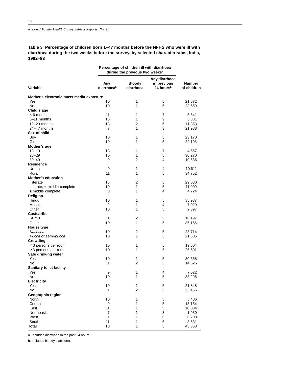**Table 3 Percentage of children born 1–47 months before the NFHS who were ill with diarrhoea during the two weeks before the survey, by selected characteristics, India, 1992–93**

| Any diarrhoea<br>Any<br><b>Bloody</b><br>in previous<br>Number<br>diarrhoea <sup>b</sup><br>24 hours <sup>b</sup><br>Variable<br>diarrhoea<br>Mother's electronic mass media exposure<br>Yes<br>10<br>1<br>5<br>21,672<br>No<br>1<br>5<br>10<br>23,659<br>Child's age<br>11<br>$< 6$ months<br>1<br>7<br>5,641<br>16<br>1<br>9<br>6-11 months<br>5,881<br>13<br>2<br>6<br>12-23 months<br>11,853<br>1<br>3<br>7<br>24-47 months<br>21,988<br>Sex of child<br>10<br>5<br>Boy<br>1<br>23,170<br>Girl<br>10<br>1<br>5<br>22,193<br>Mother's age<br>13<br>1<br>$13 - 19$<br>7<br>4,557<br>10<br>1<br>5<br>30,270<br>$20 - 29$<br>$30 - 49$<br>9<br>2<br>4<br>10,536<br>Residence<br>Urban<br>9<br>1<br>4<br>10,611<br>11<br>1<br>5<br>Rural<br>34,752<br><b>Mother's education</b><br>10<br>2<br>5<br>Illiterate<br>29,630<br>1<br>5<br>Literate, < middle complete<br>10<br>11,009<br>$\geq$ middle complete<br>8<br>1<br>4<br>4,724<br>Religion<br>Hindu<br>5<br>10<br>1<br>35,937<br>9<br>1<br>4<br>Muslim<br>7,029<br>Other<br>1<br>5<br>10<br>2,397<br>Caste/tribe<br>SC/ST<br>11<br>2<br>5<br>10,197<br>Other<br>10<br>1<br>5<br>35,166<br>House type<br>2<br>Kachcha<br>10<br>5<br>23,714<br>10<br>1<br>5<br>Pucca or semi-pucca<br>21,505<br>Crowding<br>< 3 persons per room<br>10<br>1<br>5<br>19,604<br>1<br>5<br>$\geq$ 3 persons per room<br>10<br>25,691<br>Safe drinking water<br>Yes<br>10<br>1<br>5<br>30,668<br>$\overline{2}$<br>No<br>11<br>5<br>14,625<br>Sanitary toilet facility<br>9<br>1<br>4<br>7,022<br>Yes<br>10<br>1<br>5<br>38,295<br>No<br><b>Electricity</b><br>10<br>1<br>5<br>Yes<br>21,848<br>No<br>$\overline{2}$<br>5<br>11<br>23,456<br>Geographic region<br>10<br>5,406<br>North<br>1<br>5<br>5<br>Central<br>9<br>1<br>13,154<br>East<br>11<br>1<br>5<br>10,034<br>$\overline{7}$<br>3<br>Northeast<br>1<br>1,930<br>11<br>West<br>1<br>6<br>6,208<br>South<br>11<br>1<br>5<br>8,631 |              | Percentage of children ill with diarrhoea<br>during the previous two weeks <sup>a</sup> |   |   |             |
|--------------------------------------------------------------------------------------------------------------------------------------------------------------------------------------------------------------------------------------------------------------------------------------------------------------------------------------------------------------------------------------------------------------------------------------------------------------------------------------------------------------------------------------------------------------------------------------------------------------------------------------------------------------------------------------------------------------------------------------------------------------------------------------------------------------------------------------------------------------------------------------------------------------------------------------------------------------------------------------------------------------------------------------------------------------------------------------------------------------------------------------------------------------------------------------------------------------------------------------------------------------------------------------------------------------------------------------------------------------------------------------------------------------------------------------------------------------------------------------------------------------------------------------------------------------------------------------------------------------------------------------------------------------------------------------------------------------------------------------------------------------------------------------------------------------------------------------------------------------------------------------------------------------------------|--------------|-----------------------------------------------------------------------------------------|---|---|-------------|
|                                                                                                                                                                                                                                                                                                                                                                                                                                                                                                                                                                                                                                                                                                                                                                                                                                                                                                                                                                                                                                                                                                                                                                                                                                                                                                                                                                                                                                                                                                                                                                                                                                                                                                                                                                                                                                                                                                                          |              |                                                                                         |   |   | of children |
|                                                                                                                                                                                                                                                                                                                                                                                                                                                                                                                                                                                                                                                                                                                                                                                                                                                                                                                                                                                                                                                                                                                                                                                                                                                                                                                                                                                                                                                                                                                                                                                                                                                                                                                                                                                                                                                                                                                          |              |                                                                                         |   |   |             |
|                                                                                                                                                                                                                                                                                                                                                                                                                                                                                                                                                                                                                                                                                                                                                                                                                                                                                                                                                                                                                                                                                                                                                                                                                                                                                                                                                                                                                                                                                                                                                                                                                                                                                                                                                                                                                                                                                                                          |              |                                                                                         |   |   |             |
|                                                                                                                                                                                                                                                                                                                                                                                                                                                                                                                                                                                                                                                                                                                                                                                                                                                                                                                                                                                                                                                                                                                                                                                                                                                                                                                                                                                                                                                                                                                                                                                                                                                                                                                                                                                                                                                                                                                          |              |                                                                                         |   |   |             |
|                                                                                                                                                                                                                                                                                                                                                                                                                                                                                                                                                                                                                                                                                                                                                                                                                                                                                                                                                                                                                                                                                                                                                                                                                                                                                                                                                                                                                                                                                                                                                                                                                                                                                                                                                                                                                                                                                                                          |              |                                                                                         |   |   |             |
|                                                                                                                                                                                                                                                                                                                                                                                                                                                                                                                                                                                                                                                                                                                                                                                                                                                                                                                                                                                                                                                                                                                                                                                                                                                                                                                                                                                                                                                                                                                                                                                                                                                                                                                                                                                                                                                                                                                          |              |                                                                                         |   |   |             |
|                                                                                                                                                                                                                                                                                                                                                                                                                                                                                                                                                                                                                                                                                                                                                                                                                                                                                                                                                                                                                                                                                                                                                                                                                                                                                                                                                                                                                                                                                                                                                                                                                                                                                                                                                                                                                                                                                                                          |              |                                                                                         |   |   |             |
|                                                                                                                                                                                                                                                                                                                                                                                                                                                                                                                                                                                                                                                                                                                                                                                                                                                                                                                                                                                                                                                                                                                                                                                                                                                                                                                                                                                                                                                                                                                                                                                                                                                                                                                                                                                                                                                                                                                          |              |                                                                                         |   |   |             |
|                                                                                                                                                                                                                                                                                                                                                                                                                                                                                                                                                                                                                                                                                                                                                                                                                                                                                                                                                                                                                                                                                                                                                                                                                                                                                                                                                                                                                                                                                                                                                                                                                                                                                                                                                                                                                                                                                                                          |              |                                                                                         |   |   |             |
|                                                                                                                                                                                                                                                                                                                                                                                                                                                                                                                                                                                                                                                                                                                                                                                                                                                                                                                                                                                                                                                                                                                                                                                                                                                                                                                                                                                                                                                                                                                                                                                                                                                                                                                                                                                                                                                                                                                          |              |                                                                                         |   |   |             |
|                                                                                                                                                                                                                                                                                                                                                                                                                                                                                                                                                                                                                                                                                                                                                                                                                                                                                                                                                                                                                                                                                                                                                                                                                                                                                                                                                                                                                                                                                                                                                                                                                                                                                                                                                                                                                                                                                                                          |              |                                                                                         |   |   |             |
|                                                                                                                                                                                                                                                                                                                                                                                                                                                                                                                                                                                                                                                                                                                                                                                                                                                                                                                                                                                                                                                                                                                                                                                                                                                                                                                                                                                                                                                                                                                                                                                                                                                                                                                                                                                                                                                                                                                          |              |                                                                                         |   |   |             |
|                                                                                                                                                                                                                                                                                                                                                                                                                                                                                                                                                                                                                                                                                                                                                                                                                                                                                                                                                                                                                                                                                                                                                                                                                                                                                                                                                                                                                                                                                                                                                                                                                                                                                                                                                                                                                                                                                                                          |              |                                                                                         |   |   |             |
|                                                                                                                                                                                                                                                                                                                                                                                                                                                                                                                                                                                                                                                                                                                                                                                                                                                                                                                                                                                                                                                                                                                                                                                                                                                                                                                                                                                                                                                                                                                                                                                                                                                                                                                                                                                                                                                                                                                          |              |                                                                                         |   |   |             |
|                                                                                                                                                                                                                                                                                                                                                                                                                                                                                                                                                                                                                                                                                                                                                                                                                                                                                                                                                                                                                                                                                                                                                                                                                                                                                                                                                                                                                                                                                                                                                                                                                                                                                                                                                                                                                                                                                                                          |              |                                                                                         |   |   |             |
|                                                                                                                                                                                                                                                                                                                                                                                                                                                                                                                                                                                                                                                                                                                                                                                                                                                                                                                                                                                                                                                                                                                                                                                                                                                                                                                                                                                                                                                                                                                                                                                                                                                                                                                                                                                                                                                                                                                          |              |                                                                                         |   |   |             |
|                                                                                                                                                                                                                                                                                                                                                                                                                                                                                                                                                                                                                                                                                                                                                                                                                                                                                                                                                                                                                                                                                                                                                                                                                                                                                                                                                                                                                                                                                                                                                                                                                                                                                                                                                                                                                                                                                                                          |              |                                                                                         |   |   |             |
|                                                                                                                                                                                                                                                                                                                                                                                                                                                                                                                                                                                                                                                                                                                                                                                                                                                                                                                                                                                                                                                                                                                                                                                                                                                                                                                                                                                                                                                                                                                                                                                                                                                                                                                                                                                                                                                                                                                          |              |                                                                                         |   |   |             |
|                                                                                                                                                                                                                                                                                                                                                                                                                                                                                                                                                                                                                                                                                                                                                                                                                                                                                                                                                                                                                                                                                                                                                                                                                                                                                                                                                                                                                                                                                                                                                                                                                                                                                                                                                                                                                                                                                                                          |              |                                                                                         |   |   |             |
|                                                                                                                                                                                                                                                                                                                                                                                                                                                                                                                                                                                                                                                                                                                                                                                                                                                                                                                                                                                                                                                                                                                                                                                                                                                                                                                                                                                                                                                                                                                                                                                                                                                                                                                                                                                                                                                                                                                          |              |                                                                                         |   |   |             |
|                                                                                                                                                                                                                                                                                                                                                                                                                                                                                                                                                                                                                                                                                                                                                                                                                                                                                                                                                                                                                                                                                                                                                                                                                                                                                                                                                                                                                                                                                                                                                                                                                                                                                                                                                                                                                                                                                                                          |              |                                                                                         |   |   |             |
|                                                                                                                                                                                                                                                                                                                                                                                                                                                                                                                                                                                                                                                                                                                                                                                                                                                                                                                                                                                                                                                                                                                                                                                                                                                                                                                                                                                                                                                                                                                                                                                                                                                                                                                                                                                                                                                                                                                          |              |                                                                                         |   |   |             |
|                                                                                                                                                                                                                                                                                                                                                                                                                                                                                                                                                                                                                                                                                                                                                                                                                                                                                                                                                                                                                                                                                                                                                                                                                                                                                                                                                                                                                                                                                                                                                                                                                                                                                                                                                                                                                                                                                                                          |              |                                                                                         |   |   |             |
|                                                                                                                                                                                                                                                                                                                                                                                                                                                                                                                                                                                                                                                                                                                                                                                                                                                                                                                                                                                                                                                                                                                                                                                                                                                                                                                                                                                                                                                                                                                                                                                                                                                                                                                                                                                                                                                                                                                          |              |                                                                                         |   |   |             |
|                                                                                                                                                                                                                                                                                                                                                                                                                                                                                                                                                                                                                                                                                                                                                                                                                                                                                                                                                                                                                                                                                                                                                                                                                                                                                                                                                                                                                                                                                                                                                                                                                                                                                                                                                                                                                                                                                                                          |              |                                                                                         |   |   |             |
|                                                                                                                                                                                                                                                                                                                                                                                                                                                                                                                                                                                                                                                                                                                                                                                                                                                                                                                                                                                                                                                                                                                                                                                                                                                                                                                                                                                                                                                                                                                                                                                                                                                                                                                                                                                                                                                                                                                          |              |                                                                                         |   |   |             |
|                                                                                                                                                                                                                                                                                                                                                                                                                                                                                                                                                                                                                                                                                                                                                                                                                                                                                                                                                                                                                                                                                                                                                                                                                                                                                                                                                                                                                                                                                                                                                                                                                                                                                                                                                                                                                                                                                                                          |              |                                                                                         |   |   |             |
|                                                                                                                                                                                                                                                                                                                                                                                                                                                                                                                                                                                                                                                                                                                                                                                                                                                                                                                                                                                                                                                                                                                                                                                                                                                                                                                                                                                                                                                                                                                                                                                                                                                                                                                                                                                                                                                                                                                          |              |                                                                                         |   |   |             |
|                                                                                                                                                                                                                                                                                                                                                                                                                                                                                                                                                                                                                                                                                                                                                                                                                                                                                                                                                                                                                                                                                                                                                                                                                                                                                                                                                                                                                                                                                                                                                                                                                                                                                                                                                                                                                                                                                                                          |              |                                                                                         |   |   |             |
|                                                                                                                                                                                                                                                                                                                                                                                                                                                                                                                                                                                                                                                                                                                                                                                                                                                                                                                                                                                                                                                                                                                                                                                                                                                                                                                                                                                                                                                                                                                                                                                                                                                                                                                                                                                                                                                                                                                          |              |                                                                                         |   |   |             |
|                                                                                                                                                                                                                                                                                                                                                                                                                                                                                                                                                                                                                                                                                                                                                                                                                                                                                                                                                                                                                                                                                                                                                                                                                                                                                                                                                                                                                                                                                                                                                                                                                                                                                                                                                                                                                                                                                                                          |              |                                                                                         |   |   |             |
|                                                                                                                                                                                                                                                                                                                                                                                                                                                                                                                                                                                                                                                                                                                                                                                                                                                                                                                                                                                                                                                                                                                                                                                                                                                                                                                                                                                                                                                                                                                                                                                                                                                                                                                                                                                                                                                                                                                          |              |                                                                                         |   |   |             |
|                                                                                                                                                                                                                                                                                                                                                                                                                                                                                                                                                                                                                                                                                                                                                                                                                                                                                                                                                                                                                                                                                                                                                                                                                                                                                                                                                                                                                                                                                                                                                                                                                                                                                                                                                                                                                                                                                                                          |              |                                                                                         |   |   |             |
|                                                                                                                                                                                                                                                                                                                                                                                                                                                                                                                                                                                                                                                                                                                                                                                                                                                                                                                                                                                                                                                                                                                                                                                                                                                                                                                                                                                                                                                                                                                                                                                                                                                                                                                                                                                                                                                                                                                          |              |                                                                                         |   |   |             |
|                                                                                                                                                                                                                                                                                                                                                                                                                                                                                                                                                                                                                                                                                                                                                                                                                                                                                                                                                                                                                                                                                                                                                                                                                                                                                                                                                                                                                                                                                                                                                                                                                                                                                                                                                                                                                                                                                                                          |              |                                                                                         |   |   |             |
|                                                                                                                                                                                                                                                                                                                                                                                                                                                                                                                                                                                                                                                                                                                                                                                                                                                                                                                                                                                                                                                                                                                                                                                                                                                                                                                                                                                                                                                                                                                                                                                                                                                                                                                                                                                                                                                                                                                          |              |                                                                                         |   |   |             |
|                                                                                                                                                                                                                                                                                                                                                                                                                                                                                                                                                                                                                                                                                                                                                                                                                                                                                                                                                                                                                                                                                                                                                                                                                                                                                                                                                                                                                                                                                                                                                                                                                                                                                                                                                                                                                                                                                                                          |              |                                                                                         |   |   |             |
|                                                                                                                                                                                                                                                                                                                                                                                                                                                                                                                                                                                                                                                                                                                                                                                                                                                                                                                                                                                                                                                                                                                                                                                                                                                                                                                                                                                                                                                                                                                                                                                                                                                                                                                                                                                                                                                                                                                          |              |                                                                                         |   |   |             |
|                                                                                                                                                                                                                                                                                                                                                                                                                                                                                                                                                                                                                                                                                                                                                                                                                                                                                                                                                                                                                                                                                                                                                                                                                                                                                                                                                                                                                                                                                                                                                                                                                                                                                                                                                                                                                                                                                                                          |              |                                                                                         |   |   |             |
|                                                                                                                                                                                                                                                                                                                                                                                                                                                                                                                                                                                                                                                                                                                                                                                                                                                                                                                                                                                                                                                                                                                                                                                                                                                                                                                                                                                                                                                                                                                                                                                                                                                                                                                                                                                                                                                                                                                          |              |                                                                                         |   |   |             |
|                                                                                                                                                                                                                                                                                                                                                                                                                                                                                                                                                                                                                                                                                                                                                                                                                                                                                                                                                                                                                                                                                                                                                                                                                                                                                                                                                                                                                                                                                                                                                                                                                                                                                                                                                                                                                                                                                                                          |              |                                                                                         |   |   |             |
|                                                                                                                                                                                                                                                                                                                                                                                                                                                                                                                                                                                                                                                                                                                                                                                                                                                                                                                                                                                                                                                                                                                                                                                                                                                                                                                                                                                                                                                                                                                                                                                                                                                                                                                                                                                                                                                                                                                          |              |                                                                                         |   |   |             |
|                                                                                                                                                                                                                                                                                                                                                                                                                                                                                                                                                                                                                                                                                                                                                                                                                                                                                                                                                                                                                                                                                                                                                                                                                                                                                                                                                                                                                                                                                                                                                                                                                                                                                                                                                                                                                                                                                                                          |              |                                                                                         |   |   |             |
|                                                                                                                                                                                                                                                                                                                                                                                                                                                                                                                                                                                                                                                                                                                                                                                                                                                                                                                                                                                                                                                                                                                                                                                                                                                                                                                                                                                                                                                                                                                                                                                                                                                                                                                                                                                                                                                                                                                          |              |                                                                                         |   |   |             |
|                                                                                                                                                                                                                                                                                                                                                                                                                                                                                                                                                                                                                                                                                                                                                                                                                                                                                                                                                                                                                                                                                                                                                                                                                                                                                                                                                                                                                                                                                                                                                                                                                                                                                                                                                                                                                                                                                                                          |              |                                                                                         |   |   |             |
|                                                                                                                                                                                                                                                                                                                                                                                                                                                                                                                                                                                                                                                                                                                                                                                                                                                                                                                                                                                                                                                                                                                                                                                                                                                                                                                                                                                                                                                                                                                                                                                                                                                                                                                                                                                                                                                                                                                          |              |                                                                                         |   |   |             |
|                                                                                                                                                                                                                                                                                                                                                                                                                                                                                                                                                                                                                                                                                                                                                                                                                                                                                                                                                                                                                                                                                                                                                                                                                                                                                                                                                                                                                                                                                                                                                                                                                                                                                                                                                                                                                                                                                                                          |              |                                                                                         |   |   |             |
|                                                                                                                                                                                                                                                                                                                                                                                                                                                                                                                                                                                                                                                                                                                                                                                                                                                                                                                                                                                                                                                                                                                                                                                                                                                                                                                                                                                                                                                                                                                                                                                                                                                                                                                                                                                                                                                                                                                          |              |                                                                                         |   |   |             |
|                                                                                                                                                                                                                                                                                                                                                                                                                                                                                                                                                                                                                                                                                                                                                                                                                                                                                                                                                                                                                                                                                                                                                                                                                                                                                                                                                                                                                                                                                                                                                                                                                                                                                                                                                                                                                                                                                                                          |              |                                                                                         |   |   |             |
|                                                                                                                                                                                                                                                                                                                                                                                                                                                                                                                                                                                                                                                                                                                                                                                                                                                                                                                                                                                                                                                                                                                                                                                                                                                                                                                                                                                                                                                                                                                                                                                                                                                                                                                                                                                                                                                                                                                          |              |                                                                                         |   |   |             |
|                                                                                                                                                                                                                                                                                                                                                                                                                                                                                                                                                                                                                                                                                                                                                                                                                                                                                                                                                                                                                                                                                                                                                                                                                                                                                                                                                                                                                                                                                                                                                                                                                                                                                                                                                                                                                                                                                                                          |              |                                                                                         |   |   |             |
|                                                                                                                                                                                                                                                                                                                                                                                                                                                                                                                                                                                                                                                                                                                                                                                                                                                                                                                                                                                                                                                                                                                                                                                                                                                                                                                                                                                                                                                                                                                                                                                                                                                                                                                                                                                                                                                                                                                          |              |                                                                                         |   |   |             |
|                                                                                                                                                                                                                                                                                                                                                                                                                                                                                                                                                                                                                                                                                                                                                                                                                                                                                                                                                                                                                                                                                                                                                                                                                                                                                                                                                                                                                                                                                                                                                                                                                                                                                                                                                                                                                                                                                                                          | <b>Total</b> | 10                                                                                      | 1 | 5 | 45,363      |

a. Includes diarrhoea in the past 24 hours.

b. Includes bloody diarrhoea.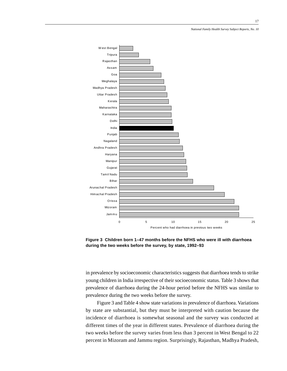

**Figure 3 Children born 1–47 months before the NFHS who were ill with diarrhoea during the two weeks before the survey, by state, 1992–93**

in prevalence by socioeconomic characteristics suggests that diarrhoea tends to strike young children in India irrespective of their socioeconomic status. Table 3 shows that prevalence of diarrhoea during the 24-hour period before the NFHS was similar to prevalence during the two weeks before the survey.

Figure 3 and Table 4 show state variations in prevalence of diarrhoea. Variations by state are substantial, but they must be interpreted with caution because the incidence of diarrhoea is somewhat seasonal and the survey was conducted at different times of the year in different states. Prevalence of diarrhoea during the two weeks before the survey varies from less than 3 percent in West Bengal to 22 percent in Mizoram and Jammu region. Surprisingly, Rajasthan, Madhya Pradesh,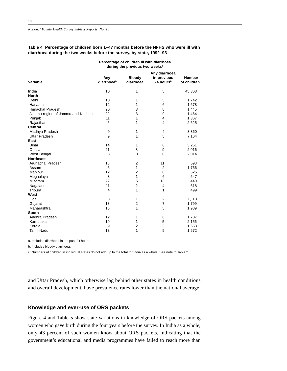|                                   | Percentage of children ill with diarrhoea<br>during the previous two weeks <sup>a</sup> |                            |                                                       |                                           |
|-----------------------------------|-----------------------------------------------------------------------------------------|----------------------------|-------------------------------------------------------|-------------------------------------------|
| Variable                          | Any<br>diarrhoeab                                                                       | <b>Bloody</b><br>diarrhoea | Any diarrhoea<br>in previous<br>24 hours <sup>b</sup> | <b>Number</b><br>of children <sup>c</sup> |
| India                             | 10                                                                                      | 1                          | 5                                                     | 45,363                                    |
| <b>North</b>                      |                                                                                         |                            |                                                       |                                           |
| Delhi                             | 10                                                                                      | 1                          | 5                                                     | 1,742                                     |
| Haryana                           | 12                                                                                      | 1                          | 6                                                     | 1,678                                     |
| <b>Himachal Pradesh</b>           | 20                                                                                      | 3                          | 8                                                     | 1,445                                     |
| Jammu region of Jammu and Kashmir | 22                                                                                      | 3                          | 9                                                     | 1,464                                     |
| Punjab                            | 11                                                                                      | 1                          | $\overline{\mathbf{4}}$                               | 1,367                                     |
| Rajasthan                         | 6                                                                                       | 1                          | 4                                                     | 2,625                                     |
| Central                           |                                                                                         |                            |                                                       |                                           |
| Madhya Pradesh                    | 9                                                                                       | 1                          | 4                                                     | 3,360                                     |
| <b>Uttar Pradesh</b>              | 9                                                                                       | 1                          | 5                                                     | 7,164                                     |
| East                              |                                                                                         |                            |                                                       |                                           |
| Bihar                             | 14                                                                                      | 1                          | 6                                                     | 3,251                                     |
| Orissa                            | 21                                                                                      | 3                          | 9                                                     | 2,016                                     |
| West Bengal                       | 3                                                                                       | 0                          | $\mathbf 0$                                           | 2,014                                     |
| <b>Northeast</b>                  |                                                                                         |                            |                                                       |                                           |
| Arunachal Pradesh                 | 18                                                                                      | $\overline{2}$             | 11                                                    | 598                                       |
| Assam                             | 6                                                                                       | 1                          | $\overline{2}$                                        | 1,766                                     |
| Manipur                           | 12                                                                                      | 2                          | 8                                                     | 525                                       |
| Meghalaya                         | 8                                                                                       | 1                          | 6                                                     | 647                                       |
| Mizoram                           | 22                                                                                      | 5                          | 13                                                    | 440                                       |
| Nagaland                          | 11                                                                                      | 2                          | 4                                                     | 618                                       |
| Tripura                           | 4                                                                                       | 1                          | 1                                                     | 499                                       |
| West                              |                                                                                         |                            |                                                       |                                           |
| Goa                               | 8                                                                                       | 1                          | 2                                                     | 1,113                                     |
| Gujarat                           | 13                                                                                      | $\overline{2}$             | $\overline{7}$                                        | 1,799                                     |
| Maharashtra                       | 10                                                                                      | 1                          | 5                                                     | 1,989                                     |
| <b>South</b>                      |                                                                                         |                            |                                                       |                                           |
| Andhra Pradesh                    | 12                                                                                      | 1                          | 6                                                     | 1,707                                     |
| Karnataka                         | 10                                                                                      | 1                          | 5                                                     | 2,156                                     |
| Kerala                            | 9                                                                                       | 2                          | 3                                                     | 1,553                                     |
| <b>Tamil Nadu</b>                 | 13                                                                                      | 1                          | 5                                                     | 1,572                                     |

## **Table 4 Percentage of children born 1–47 months before the NFHS who were ill with diarrhoea during the two weeks before the survey, by state, 1992–93**

a. Includes diarrhoea in the past 24 hours.

b. Includes bloody diarrhoea.

c. Numbers of children in individual states do not add up to the total for India as a whole. See note to Table 2.

and Uttar Pradesh, which otherwise lag behind other states in health conditions and overall development, have prevalence rates lower than the national average.

# **Knowledge and ever-use of ORS packets**

Figure 4 and Table 5 show state variations in knowledge of ORS packets among women who gave birth during the four years before the survey. In India as a whole, only 43 percent of such women know about ORS packets, indicating that the government's educational and media programmes have failed to reach more than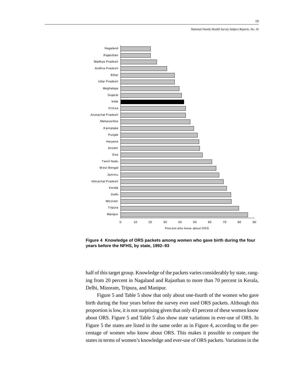

**Figure 4 Knowledge of ORS packets among women who gave birth during the four years before the NFHS, by state, 1992–93**

half of this target group. Knowledge of the packets varies considerably by state, ranging from 20 percent in Nagaland and Rajasthan to more than 70 percent in Kerala, Delhi, Mizoram, Tripura, and Manipur.

Figure 5 and Table 5 show that only about one-fourth of the women who gave birth during the four years before the survey ever used ORS packets. Although this proportion is low, it is not surprising given that only 43 percent of these women know about ORS. Figure 5 and Table 5 also show state variations in ever-use of ORS. In Figure 5 the states are listed in the same order as in Figure 4, according to the percentage of women who know about ORS. This makes it possible to compare the states in terms of women's knowledge and ever-use of ORS packets. Variations in the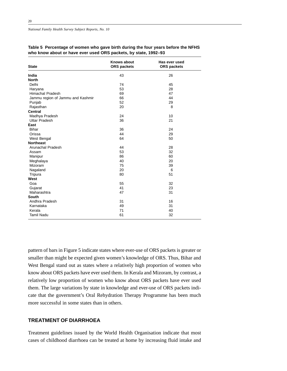*National Family Health Survey Subject Reports, No. 10*

| <b>State</b>                      | <b>Knows about</b><br><b>ORS</b> packets | Has ever used<br><b>ORS</b> packets |
|-----------------------------------|------------------------------------------|-------------------------------------|
| India                             | 43                                       | 26                                  |
| <b>North</b>                      |                                          |                                     |
| Delhi                             | 74                                       | 45                                  |
| Haryana                           | 53                                       | 28                                  |
| <b>Himachal Pradesh</b>           | 69                                       | 47                                  |
| Jammu region of Jammu and Kashmir | 66                                       | 44                                  |
| Punjab                            | 52                                       | 29                                  |
| Rajasthan                         | 20                                       | 8                                   |
| <b>Central</b>                    |                                          |                                     |
| Madhya Pradesh                    | 24                                       | 10                                  |
| <b>Uttar Pradesh</b>              | 36                                       | 21                                  |
| East                              |                                          |                                     |
| <b>Bihar</b>                      | 36                                       | 24                                  |
| Orissa                            | 44                                       | 29                                  |
| West Bengal                       | 64                                       | 50                                  |
| <b>Northeast</b>                  |                                          |                                     |
| Arunachal Pradesh                 | 44                                       | 28                                  |
| Assam                             | 53                                       | 32                                  |
| Manipur                           | 86                                       | 60                                  |
| Meghalaya                         | 40                                       | 20                                  |
| Mizoram                           | 75                                       | 39                                  |
| Nagaland                          | 20                                       | 6                                   |
| Tripura                           | 80                                       | 51                                  |
| West                              |                                          |                                     |
| Goa                               | 55                                       | 32                                  |
| Gujarat                           | 41                                       | 23                                  |
| Maharashtra                       | 47                                       | 31                                  |
| South                             |                                          |                                     |
| Andhra Pradesh                    | 31                                       | 16                                  |
| Karnataka                         | 49                                       | 31                                  |
| Kerala                            | 71                                       | 40                                  |
| <b>Tamil Nadu</b>                 | 61                                       | 32                                  |

# **Table 5 Percentage of women who gave birth during the four years before the NFHS who know about or have ever used ORS packets, by state, 1992–93**

pattern of bars in Figure 5 indicate states where ever-use of ORS packets is greater or smaller than might be expected given women's knowledge of ORS. Thus, Bihar and West Bengal stand out as states where a relatively high proportion of women who know about ORS packets have ever used them. In Kerala and Mizoram, by contrast, a relatively low proportion of women who know about ORS packets have ever used them. The large variations by state in knowledge and ever-use of ORS packets indicate that the government's Oral Rehydration Therapy Programme has been much more successful in some states than in others.

# **TREATMENT OF DIARRHOEA**

Treatment guidelines issued by the World Health Organisation indicate that most cases of childhood diarrhoea can be treated at home by increasing fluid intake and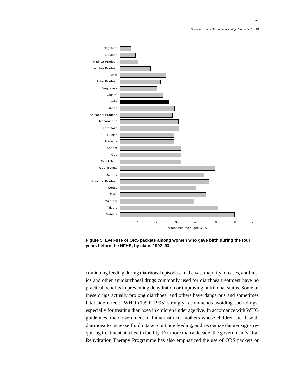

**Figure 5 Ever-use of ORS packets among women who gave birth during the four years before the NFHS, by state, 1992–93**

continuing feeding during diarrhoeal episodes. In the vast majority of cases, antibiotics and other antidiarrhoeal drugs commonly used for diarrhoea treatment have no practical benefits in preventing dehydration or improving nutritional status. Some of these drugs actually prolong diarrhoea, and others have dangerous and sometimes fatal side effects. WHO (1990; 1995) strongly recommends avoiding such drugs, especially for treating diarrhoea in children under age five. In accordance with WHO guidelines, the Government of India instructs mothers whose children are ill with diarrhoea to increase fluid intake, continue feeding, and recognize danger signs requiring treatment at a health facility. For more than a decade, the government's Oral Rehydration Therapy Programme has also emphasized the use of ORS packets or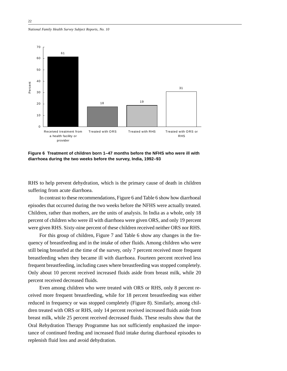*National Family Health Survey Subject Reports, No. 10*



**Figure 6 Treatment of children born 1–47 months before the NFHS who were ill with diarrhoea during the two weeks before the survey, India, 1992–93**

RHS to help prevent dehydration, which is the primary cause of death in children suffering from acute diarrhoea.

In contrast to these recommendations, Figure 6 and Table 6 show how diarrhoeal episodes that occurred during the two weeks before the NFHS were actually treated. Children, rather than mothers, are the units of analysis. In India as a whole, only 18 percent of children who were ill with diarrhoea were given ORS, and only 19 percent were given RHS. Sixty-nine percent of these children received neither ORS nor RHS.

For this group of children, Figure 7 and Table 6 show any changes in the frequency of breastfeeding and in the intake of other fluids. Among children who were still being breastfed at the time of the survey, only 7 percent received more frequent breastfeeding when they became ill with diarrhoea. Fourteen percent received less frequent breastfeeding, including cases where breastfeeding was stopped completely. Only about 10 percent received increased fluids aside from breast milk, while 20 percent received decreased fluids.

Even among children who were treated with ORS or RHS, only 8 percent received more frequent breastfeeding, while for 18 percent breastfeeding was either reduced in frequency or was stopped completely (Figure 8). Similarly, among children treated with ORS or RHS, only 14 percent received increased fluids aside from breast milk, while 25 percent received decreased fluids. These results show that the Oral Rehydration Therapy Programme has not sufficiently emphasized the importance of continued feeding and increased fluid intake during diarrhoeal episodes to replenish fluid loss and avoid dehydration.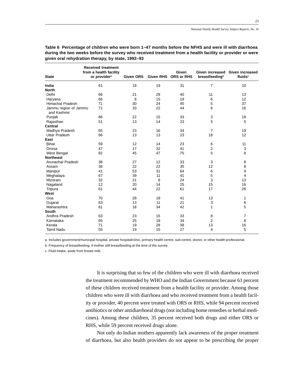| <b>State</b>                         | <b>Received treatment</b><br>from a health facility<br>or provider <sup>a</sup> | Given ORS | <b>Given RHS</b> | Given<br><b>ORS or RHS</b> | breastfeeding <sup>b</sup> | Given increased Given increased<br>fluids <sup>c</sup> |
|--------------------------------------|---------------------------------------------------------------------------------|-----------|------------------|----------------------------|----------------------------|--------------------------------------------------------|
| India                                | 61                                                                              | 18        | 19               | 31                         | $\overline{7}$             | 10                                                     |
| <b>North</b>                         |                                                                                 |           |                  |                            |                            |                                                        |
| Delhi                                | 66                                                                              | 21        | 29               | 40                         | 11                         | 13                                                     |
| Haryana                              | 66                                                                              | 8         | 15               | 19                         | 6                          | 12                                                     |
| <b>Himachal Pradesh</b>              | 71                                                                              | 30        | 24               | 45                         | 5                          | 37                                                     |
| Jammu region of Jammu<br>and Kashmir | 71                                                                              | 33        | 22               | 44                         | 6                          | 16                                                     |
| Punjab                               | 86                                                                              | 22        | 15               | 33                         | 3                          | 18                                                     |
| Rajasthan                            | 51                                                                              | 13        | 14               | 23                         | 5                          | 5                                                      |
| <b>Central</b>                       |                                                                                 |           |                  |                            |                            |                                                        |
| Madhya Pradesh                       | 65                                                                              | 23        | 16               | 34                         | $\overline{7}$             | 19                                                     |
| <b>Uttar Pradesh</b>                 | 66                                                                              | 13        | 13               | 23                         | 18                         | 12                                                     |
| East                                 |                                                                                 |           |                  |                            |                            |                                                        |
| Bihar                                | 59                                                                              | 12        | 14               | 23                         | 6                          | 11                                                     |
| Orissa                               | 47                                                                              | 17        | 32               | 41                         | 2                          | 3                                                      |
| West Bengal                          | 82                                                                              | 45        | 47               | 75                         | 5                          | 8                                                      |
| <b>Northeast</b>                     |                                                                                 |           |                  |                            |                            |                                                        |
| Arunachal Pradesh                    | 38                                                                              | 27        | 12               | 33                         | 3                          | 8                                                      |
| Assam                                | 36                                                                              | 22        | 22               | 35                         | 12                         | 8                                                      |
| Manipur                              | 41                                                                              | 53        | 31               | 64                         | 6                          | 9                                                      |
| Meghalaya                            | 67                                                                              | 39        | 11               | 41                         | 5                          | 4                                                      |
| Mizoram                              | 32                                                                              | 21        | 8                | 24                         | 3                          | 13                                                     |
| Nagaland                             | 12                                                                              | 20        | 14               | 25                         | 15                         | 16                                                     |
| Tripura                              | 61                                                                              | 44        | 22               | 61                         | 17                         | 28                                                     |
| West                                 |                                                                                 |           |                  |                            |                            |                                                        |
| Goa                                  | 70                                                                              | 28        | 18               | 41                         | 13                         | 1                                                      |
| Gujarat                              | 63                                                                              | 13        | 11               | 21                         | 3                          | 6                                                      |
| Maharashtra                          | 61                                                                              | 18        | 34               | 42                         | 1                          | 5                                                      |
| South                                |                                                                                 |           |                  |                            |                            |                                                        |
| Andhra Pradesh                       | 63                                                                              | 23        | 15               | 33                         | 8                          | 7                                                      |
| Karnataka                            | 65                                                                              | 25        | 18               | 34                         | 2                          | 8                                                      |
| Kerala                               | 71                                                                              | 19        | 28               | 38                         | 13                         | 16                                                     |
| <b>Tamil Nadu</b>                    | 55                                                                              | 19        | 15               | 27                         | 4                          | 5                                                      |

**Table 6 Percentage of children who were born 1–47 months before the NFHS and were ill with diarrhoea during the two weeks before the survey who received treatment from a health facility or provider or were given oral rehydration therapy, by state, 1992–93**

a. Includes government/municipal hospital, private hospital/clinic, primary health centre, sub-centre, doctor, or other health professional.

b. Frequency of breastfeeding, if mother still breastfeeding at the time of the survey.

c. Fluid intake, aside from breast milk.

It is surprising that so few of the children who were ill with diarrhoea received the treatment recommended by WHO and the Indian Government because 61 percent of these children received treatment from a health facility or provider. Among those children who were ill with diarrhoea and who received treatment from a health facility or provider, 40 percent were treated with ORS or RHS, while 94 percent received antibiotics or other antidiarrhoeal drugs (not including home remedies or herbal medicines). Among these children, 35 percent received both drugs and either ORS or RHS, while 59 percent received drugs alone.

Not only do Indian mothers apparently lack awareness of the proper treatment of diarrhoea, but also health providers do not appear to be prescribing the proper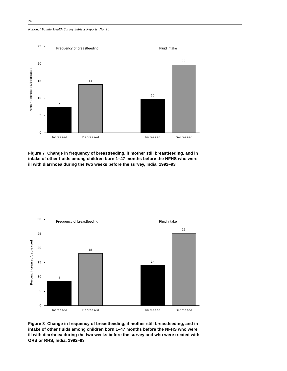*National Family Health Survey Subject Reports, No. 10*



**Figure 7 Change in frequency of breastfeeding, if mother still breastfeeding, and in intake of other fluids among children born 1–47 months before the NFHS who were ill with diarrhoea during the two weeks before the survey, India, 1992–93**



**Figure 8 Change in frequency of breastfeeding, if mother still breastfeeding, and in intake of other fluids among children born 1–47 months before the NFHS who were ill with diarrhoea during the two weeks before the survey and who were treated with ORS or RHS, India, 1992–93**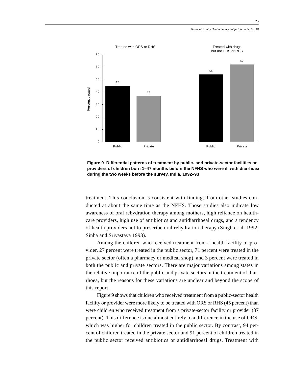

**Figure 9 Differential patterns of treatment by public- and private-sector facilities or providers of children born 1–47 months before the NFHS who were ill with diarrhoea during the two weeks before the survey, India, 1992–93**

treatment. This conclusion is consistent with findings from other studies conducted at about the same time as the NFHS. Those studies also indicate low awareness of oral rehydration therapy among mothers, high reliance on healthcare providers, high use of antibiotics and antidiarrhoeal drugs, and a tendency of health providers not to prescribe oral rehydration therapy (Singh et al. 1992; Sinha and Srivastava 1993).

Among the children who received treatment from a health facility or provider, 27 percent were treated in the public sector, 71 percent were treated in the private sector (often a pharmacy or medical shop), and 3 percent were treated in both the public and private sectors. There are major variations among states in the relative importance of the public and private sectors in the treatment of diarrhoea, but the reasons for these variations are unclear and beyond the scope of this report.

Figure 9 shows that children who received treatment from a public-sector health facility or provider were more likely to be treated with ORS or RHS (45 percent) than were children who received treatment from a private-sector facility or provider (37 percent). This difference is due almost entirely to a difference in the use of ORS, which was higher for children treated in the public sector. By contrast, 94 percent of children treated in the private sector and 91 percent of children treated in the public sector received antibiotics or antidiarrhoeal drugs. Treatment with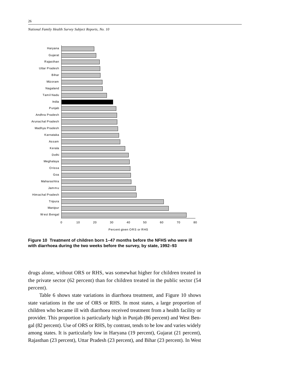



**Figure 10 Treatment of children born 1–47 months before the NFHS who were ill with diarrhoea during the two weeks before the survey, by state, 1992–93**

drugs alone, without ORS or RHS, was somewhat higher for children treated in the private sector (62 percent) than for children treated in the public sector (54 percent).

Table 6 shows state variations in diarrhoea treatment, and Figure 10 shows state variations in the use of ORS or RHS. In most states, a large proportion of children who became ill with diarrhoea received treatment from a health facility or provider. This proportion is particularly high in Punjab (86 percent) and West Bengal (82 percent). Use of ORS or RHS, by contrast, tends to be low and varies widely among states. It is particularly low in Haryana (19 percent), Gujarat (21 percent), Rajasthan (23 percent), Uttar Pradesh (23 percent), and Bihar (23 percent). In West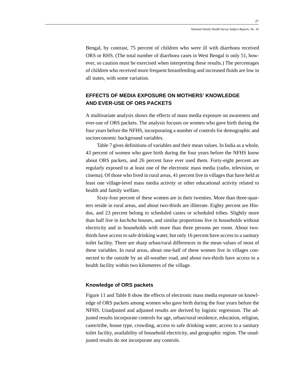Bengal, by contrast, 75 percent of children who were ill with diarrhoea received ORS or RHS. (The total number of diarrhoea cases in West Bengal is only 51, however, so caution must be exercised when interpreting these results.) The percentages of children who received more frequent breastfeeding and increased fluids are low in all states, with some variation.

# **EFFECTS OF MEDIA EXPOSURE ON MOTHERS' KNOWLEDGE AND EVER-USE OF ORS PACKETS**

A multivariate analysis shows the effects of mass media exposure on awareness and ever-use of ORS packets. The analysis focuses on women who gave birth during the four years before the NFHS, incorporating a number of controls for demographic and socioeconomic background variables.

Table 7 gives definitions of variables and their mean values. In India as a whole, 43 percent of women who gave birth during the four years before the NFHS know about ORS packets, and 26 percent have ever used them. Forty-eight percent are regularly exposed to at least one of the electronic mass media (radio, television, or cinema). Of those who lived in rural areas, 41 percent live in villages that have held at least one village-level mass media activity or other educational activity related to health and family welfare.

Sixty-four percent of these women are in their twenties. More than three-quarters reside in rural areas, and about two-thirds are illiterate. Eighty percent are Hindus, and 23 percent belong to scheduled castes or scheduled tribes. Slightly more than half live in *kachcha* houses, and similar proportions live in households without electricity and in households with more than three persons per room. About twothirds have access to safe drinking water, but only 16 percent have access to a sanitary toilet facility. There are sharp urban/rural differences in the mean values of most of these variables. In rural areas, about one-half of these women live in villages connected to the outside by an all-weather road, and about two-thirds have access to a health facility within two kilometres of the village.

# **Knowledge of ORS packets**

Figure 11 and Table 8 show the effects of electronic mass media exposure on knowledge of ORS packets among women who gave birth during the four years before the NFHS. Unadjusted and adjusted results are derived by logistic regression. The adjusted results incorporate controls for age, urban/rural residence, education, religion, caste/tribe, house type, crowding, access to safe drinking water, access to a sanitary toilet facility, availability of household electricity, and geographic region. The unadjusted results do not incorporate any controls.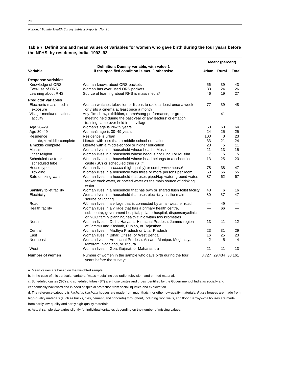|                                       |                                                                                                                                     |                | Mean <sup>a</sup> (percent) |                |  |
|---------------------------------------|-------------------------------------------------------------------------------------------------------------------------------------|----------------|-----------------------------|----------------|--|
| Variable                              | Definition: Dummy variable, with value 1<br>if the specified condition is met, 0 otherwise                                          |                | Urban Rural                 | Total          |  |
| Response variables                    |                                                                                                                                     |                |                             |                |  |
| Knowledge of ORS                      | Woman knows about ORS packets                                                                                                       | 56             | 39                          | 43             |  |
| Ever-use of ORS                       | Woman has ever used ORS packets                                                                                                     | 33             | 24                          | 26             |  |
| Learning about RHS                    | Source of learning about RHS is mass mediable                                                                                       | 46             | 19                          | 27             |  |
| <b>Predictor variables</b>            |                                                                                                                                     |                |                             |                |  |
| Electronic mass media                 | Woman watches television or listens to radio at least once a week                                                                   | 77             | 39                          | 48             |  |
| exposure                              | or visits a cinema at least once a month                                                                                            |                |                             |                |  |
| Village media/educational             | Any film show, exhibition, drama/song performance, or group                                                                         |                | 41                          |                |  |
| activity                              | meeting held during the past year or any leaders' orientation                                                                       |                |                             |                |  |
|                                       | training camp ever held in the village                                                                                              |                |                             |                |  |
| Age 20-29                             | Woman's age is 20-29 years                                                                                                          | 68             | 63                          | 64             |  |
| Age 30-49                             | Woman's age is 30-49 years                                                                                                          | 24             | 25                          | 25             |  |
| Residence                             | Residence is urban                                                                                                                  | 100            | $\mathbf 0$                 | 23             |  |
| Literate, < middle complete           | Literate with less than a middle-school education                                                                                   | 33             | 21                          | 24             |  |
| $\geq$ middle complete                | Literate with a middle-school or higher education                                                                                   | 28             | 5                           | 11             |  |
| Muslim                                | Woman lives in a household whose head is Muslim                                                                                     | 21             | 13                          | 15             |  |
| Other religion                        | Woman lives in a household whose head is not Hindu or Muslim                                                                        | 7              | 5                           | 5              |  |
| Scheduled caste or<br>scheduled tribe | Woman lives in a household whose head belongs to a scheduled<br>caste (SC) or scheduled tribe (ST) <sup>c</sup>                     | 13             | 25                          | 23             |  |
| House type                            | Woman lives in a pucca (high quality) or semi-pucca housed                                                                          | 78             | 38                          | 47             |  |
| Crowding                              | Woman lives in a household with three or more persons per room                                                                      | 53             | 56                          | 55             |  |
| Safe drinking water                   | Woman lives in a household that uses piped/tap water, ground water,                                                                 | 87             | 62                          | 67             |  |
|                                       | tanker truck water, or bottled water as the main source of drinking<br>water                                                        |                |                             |                |  |
| Sanitary toilet facility              | Woman lives in a household that has own or shared flush toilet facility                                                             | 48             | 6                           | 16             |  |
| Electricity                           | Woman lives in a household that uses electricity as the main                                                                        | 80             | 37                          | 47             |  |
|                                       | source of lighting                                                                                                                  |                |                             |                |  |
| Road                                  | Woman lives in a village that is connected by an all-weather road                                                                   |                | 49                          |                |  |
| Health facility                       | Woman lives in a village that has a primary health centre,                                                                          |                | 66                          |                |  |
|                                       | sub-centre, government hospital, private hospital, dispensary/clinic,<br>or NGO family planning/health clinic within two kilometres |                |                             |                |  |
| <b>North</b>                          | Woman lives in Delhi, Haryana, Himachal Pradesh, Jammu region<br>of Jammu and Kashmir, Punjab, or Rajasthan                         | 13             | 11                          | 12             |  |
| Central                               | Woman lives in Madhya Pradesh or Uttar Pradesh                                                                                      | 23             | 31                          | 29             |  |
| East                                  | Woman lives in Bihar, Orissa, or West Bengal                                                                                        | 16             | 25                          | 23             |  |
| Northeast                             | Woman lives in Arunachal Pradesh, Assam, Manipur, Meghalaya,<br>Mizoram, Nagaland, or Tripura                                       | $\overline{2}$ | 5                           | $\overline{4}$ |  |
| West                                  | Woman lives in Goa, Gujarat, or Maharashtra                                                                                         | 21             | 11                          | 13             |  |
| Number of women                       | Number of women in the sample who gave birth during the four<br>years before the survey <sup>e</sup>                                |                | 8,727 29,434 38,161         |                |  |

# **Table 7 Definitions and mean values of variables for women who gave birth during the four years before the NFHS, by residence, India, 1992–93**

a. Mean values are based on the weighted sample.

b. In the case of this particular variable, 'mass media' include radio, television, and printed material.

c. Scheduled castes (SC) and scheduled tribes (ST) are those castes and tribes identified by the Government of India as socially and

economically backward and in need of special protection from social injustice and exploitation.

d. The reference category is kachcha. Kachcha houses are made from mud, thatch, or other low-quality materials. Pucca houses are made from high-quality materials (such as bricks, tiles, cement, and concrete) throughout, including roof, walls, and floor. Semi-pucca houses are made from partly low-quality and partly high-quality materials.

e. Actual sample size varies slightly for individual variables depending on the number of missing values.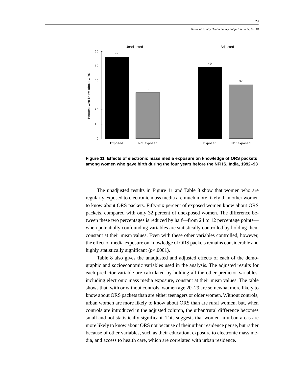

**Figure 11 Effects of electronic mass media exposure on knowledge of ORS packets among women who gave birth during the four years before the NFHS, India, 1992–93**

The unadjusted results in Figure 11 and Table 8 show that women who are regularly exposed to electronic mass media are much more likely than other women to know about ORS packets. Fifty-six percent of exposed women know about ORS packets, compared with only 32 percent of unexposed women. The difference between these two percentages is reduced by half—from 24 to 12 percentage points when potentially confounding variables are statistically controlled by holding them constant at their mean values. Even with these other variables controlled, however, the effect of media exposure on knowledge of ORS packets remains considerable and highly statistically significant (*p*<.0001).

Table 8 also gives the unadjusted and adjusted effects of each of the demographic and socioeconomic variables used in the analysis. The adjusted results for each predictor variable are calculated by holding all the other predictor variables, including electronic mass media exposure, constant at their mean values. The table shows that, with or without controls, women age 20–29 are somewhat more likely to know about ORS packets than are either teenagers or older women. Without controls, urban women are more likely to know about ORS than are rural women, but, when controls are introduced in the adjusted column, the urban/rural difference becomes small and not statistically significant. This suggests that women in urban areas are more likely to know about ORS not because of their urban residence per se, but rather because of other variables, such as their education, exposure to electronic mass media, and access to health care, which are correlated with urban residence.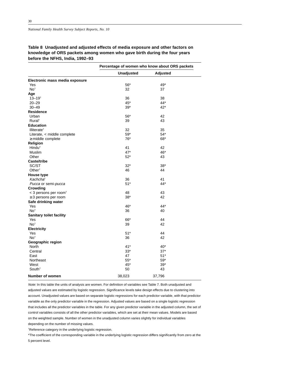**Table 8 Unadjusted and adjusted effects of media exposure and other factors on knowledge of ORS packets among women who gave birth during the four years before the NFHS, India, 1992–93**

|                                   | Percentage of women who know about ORS packets |          |  |
|-----------------------------------|------------------------------------------------|----------|--|
|                                   | <b>Unadjusted</b>                              | Adjusted |  |
| Electronic mass media exposure    |                                                |          |  |
| Yes                               | $56*$                                          | 49*      |  |
| No <sup>t</sup>                   | 32                                             | 37       |  |
| Age                               |                                                |          |  |
| $13 - 19$ <sup>t</sup>            | 36                                             | 38       |  |
| $20 - 29$                         | 45*                                            | $44*$    |  |
| $30 - 49$                         | $39*$                                          | $42*$    |  |
| Residence                         |                                                |          |  |
| Urban                             | $56*$                                          | 42       |  |
| Rural <sup>+</sup>                | 39                                             | 43       |  |
| <b>Education</b>                  |                                                |          |  |
| Illiterate <sup>†</sup>           | 32                                             | 35       |  |
| Literate, < middle complete       | $59*$                                          | $54*$    |  |
| $\geq$ middle complete            | 76*                                            | 68*      |  |
| Religion                          |                                                |          |  |
| Hindu <sup>+</sup>                | 41                                             | 42       |  |
| Muslim                            | $47*$                                          | 46*      |  |
| Other                             | $52*$                                          | 43       |  |
| <b>Caste/tribe</b>                |                                                |          |  |
| SC/ST                             | $32*$                                          | $38*$    |  |
| Other <sup>t</sup>                | 46                                             | 44       |  |
|                                   |                                                |          |  |
| House type                        |                                                |          |  |
| Kachcha <sup>t</sup>              | 36                                             | 41       |  |
| Pucca or semi-pucca               | $51*$                                          | 44*      |  |
| Crowding                          |                                                |          |  |
| < 3 persons per room <sup>+</sup> | 48                                             | 43       |  |
| $\geq$ 3 persons per room         | $38*$                                          | 42       |  |
| Safe drinking water               |                                                |          |  |
| Yes                               | 46*                                            | 44*      |  |
| No <sup>t</sup>                   | 36                                             | 40       |  |
| <b>Sanitary toilet facility</b>   |                                                |          |  |
| Yes                               | 66*                                            | 44       |  |
| No <sup>†</sup>                   | 39                                             | 42       |  |
| Electricity                       |                                                |          |  |
| Yes                               | $51*$                                          | 44       |  |
| No <sup>t</sup>                   | 36                                             | 42       |  |
| Geographic region                 |                                                |          |  |
| <b>North</b>                      | $41*$                                          | $40*$    |  |
| Central                           | $33*$                                          | $37*$    |  |
| East                              | 47                                             | $51*$    |  |
| Northeast                         | $55*$                                          | $59*$    |  |
| West                              | 45*                                            | $39*$    |  |
| South <sup>+</sup>                | 50                                             | 43       |  |
| Number of women                   | 38,023                                         | 37,796   |  |

Note: In this table the units of analysis are women. For definition of variables see Table 7. Both unadjusted and adjusted values are estimated by logistic regression. Significance levels take design effects due to clustering into account. Unadjusted values are based on separate logistic regressions for each predictor variable, with that predictor variable as the only predictor variable in the regression. Adjusted values are based on a single logistic regression that includes all the predictor variables in the table. For any given predictor variable in the adjusted column, the set of control variables consists of all the other predictor variables, which are set at their mean values. Models are based on the weighted sample. Number of women in the unadjusted column varies slightly for individual variables depending on the number of missing values.

†Reference category in the underlying logistic regression.

\*The coefficient of the corresponding variable in the underlying logistic regression differs significantly from zero at the 5 percent level.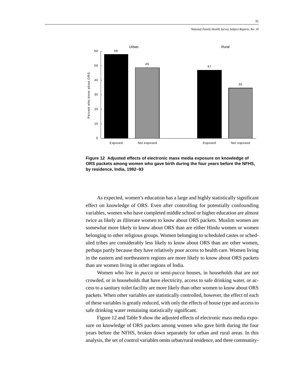



As expected, women's education has a large and highly statistically significant effect on knowledge of ORS. Even after controlling for potentially confounding variables, women who have completed middle school or higher education are almost twice as likely as illiterate women to know about ORS packets. Muslim women are somewhat more likely to know about ORS than are either Hindu women or women belonging to other religious groups. Women belonging to scheduled castes or scheduled tribes are considerably less likely to know about ORS than are other women, perhaps partly because they have relatively poor access to health care. Women living in the eastern and northeastern regions are more likely to know about ORS packets than are women living in other regions of India.

Women who live in *pucca* or semi-*pucca* houses, in households that are not crowded, or in households that have electricity, access to safe drinking water, or access to a sanitary toilet facility are more likely than other women to know about ORS packets. When other variables are statistically controlled, however, the effect of each of these variables is greatly reduced, with only the effects of house type and access to safe drinking water remaining statistically significant.

Figure 12 and Table 9 show the adjusted effects of electronic mass media exposure on knowledge of ORS packets among women who gave birth during the four years before the NFHS, broken down separately for urban and rural areas. In this analysis, the set of control variables omits urban/rural residence, and three community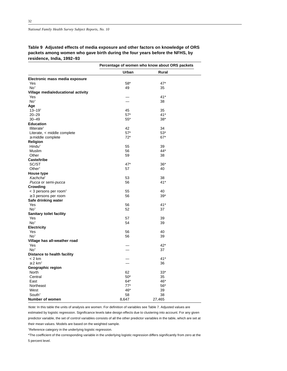*National Family Health Survey Subject Reports, No. 10*

**Table 9 Adjusted effects of media exposure and other factors on knowledge of ORS packets among women who gave birth during the four years before the NFHS, by residence, India, 1992–93**

|                                         | Percentage of women who know about ORS packets |              |  |
|-----------------------------------------|------------------------------------------------|--------------|--|
|                                         | Urban                                          | <b>Rural</b> |  |
| Electronic mass media exposure          |                                                |              |  |
| Yes                                     | $58^{\ast}$                                    | $47*$        |  |
| No <sup>t</sup>                         | 49                                             | 35           |  |
| Village media/educational activity      |                                                |              |  |
| Yes                                     |                                                | $41*$        |  |
| No <sup>t</sup>                         | $\equiv$                                       | 38           |  |
| Age                                     |                                                |              |  |
| $13 - 19$ <sup>t</sup>                  | 45                                             | 35           |  |
| $20 - 29$                               | $57^{\star}$                                   | 41*          |  |
| $30 - 49$                               | $55*$                                          | $38*$        |  |
| <b>Education</b>                        |                                                |              |  |
| Illiterate <sup>†</sup>                 | 42                                             | 34           |  |
| Literate, < middle complete             | $57*$                                          | $53*$        |  |
| $\geq$ middle complete                  | $72*$                                          | $67*$        |  |
| Religion                                |                                                |              |  |
| Hindu <sup>+</sup>                      | 55                                             | 39           |  |
| Muslim                                  | 56                                             | 44*          |  |
| Other                                   | 59                                             | 38           |  |
| Caste/tribe                             |                                                |              |  |
| SC/ST                                   | 47*                                            | $36*$        |  |
| Other <sup>+</sup>                      | 57                                             | 40           |  |
| House type                              |                                                |              |  |
| Kachcha <sup>t</sup>                    | 53                                             | 38           |  |
| Pucca or semi-pucca                     | 56                                             | $41*$        |  |
| Crowding                                |                                                |              |  |
| $<$ 3 persons per room <sup>+</sup>     | 55                                             | 40           |  |
| $\geq$ 3 persons per room               | 56                                             | $39*$        |  |
| Safe drinking water                     |                                                |              |  |
| Yes                                     | 56                                             | $41*$        |  |
| No <sup>t</sup>                         | 52                                             | 37           |  |
| Sanitary toilet facility                |                                                |              |  |
| Yes                                     | 57                                             | 39           |  |
| No <sup>t</sup>                         | 54                                             | 39           |  |
| <b>Electricity</b>                      |                                                |              |  |
| Yes                                     | 56                                             | 40           |  |
| No <sup>†</sup>                         | 56                                             | 39           |  |
| Village has all-weather road            |                                                |              |  |
| Yes                                     |                                                | $42*$        |  |
| No <sup>t</sup>                         |                                                | 37           |  |
|                                         |                                                |              |  |
| Distance to health facility<br>$< 2$ km |                                                | $41*$        |  |
| $\geq 2$ km <sup>+</sup>                |                                                |              |  |
|                                         |                                                | 36           |  |
| Geographic region                       | 62                                             | $33*$        |  |
| North                                   |                                                |              |  |
| Central                                 | $50*$                                          | 35           |  |
| East                                    | $64*$                                          | 46*          |  |
| Northeast                               | $77*$                                          | $56*$        |  |
| West                                    | 46*                                            | 39           |  |
| South <sup>†</sup>                      | 58                                             | 38           |  |
| Number of women                         | 8,647                                          | 27,465       |  |

Note: In this table the units of analysis are women. For definition of variables see Table 7. Adjusted values are estimated by logistic regression. Significance levels take design effects due to clustering into account. For any given predictor variable, the set of control variables consists of all the other predictor variables in the table, which are set at their mean values. Models are based on the weighted sample.

†Reference category in the underlying logistic regression.

\*The coefficient of the corresponding variable in the underlying logistic regression differs significantly from zero at the 5 percent level.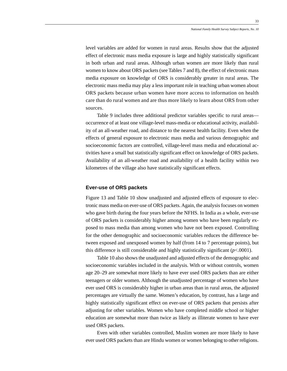level variables are added for women in rural areas. Results show that the adjusted effect of electronic mass media exposure is large and highly statistically significant in both urban and rural areas. Although urban women are more likely than rural women to know about ORS packets (see Tables 7 and 8), the effect of electronic mass media exposure on knowledge of ORS is considerably greater in rural areas. The electronic mass media may play a less important role in teaching urban women about ORS packets because urban women have more access to information on health care than do rural women and are thus more likely to learn about ORS from other sources.

Table 9 includes three additional predictor variables specific to rural areas occurrence of at least one village-level mass-media or educational activity, availability of an all-weather road, and distance to the nearest health facility. Even when the effects of general exposure to electronic mass media and various demographic and socioeconomic factors are controlled, village-level mass media and educational activities have a small but statistically significant effect on knowledge of ORS packets. Availability of an all-weather road and availability of a health facility within two kilometres of the village also have statistically significant effects.

#### **Ever-use of ORS packets**

Figure 13 and Table 10 show unadjusted and adjusted effects of exposure to electronic mass media on ever-use of ORS packets. Again, the analysis focuses on women who gave birth during the four years before the NFHS. In India as a whole, ever-use of ORS packets is considerably higher among women who have been regularly exposed to mass media than among women who have not been exposed. Controlling for the other demographic and socioeconomic variables reduces the difference between exposed and unexposed women by half (from 14 to 7 percentage points), but this difference is still considerable and highly statistically significant  $(p<.0001)$ .

Table 10 also shows the unadjusted and adjusted effects of the demographic and socioeconomic variables included in the analysis. With or without controls, women age 20–29 are somewhat more likely to have ever used ORS packets than are either teenagers or older women. Although the unadjusted percentage of women who have ever used ORS is considerably higher in urban areas than in rural areas, the adjusted percentages are virtually the same. Women's education, by contrast, has a large and highly statistically significant effect on ever-use of ORS packets that persists after adjusting for other variables. Women who have completed middle school or higher education are somewhat more than twice as likely as illiterate women to have ever used ORS packets.

Even with other variables controlled, Muslim women are more likely to have ever used ORS packets than are Hindu women or women belonging to other religions.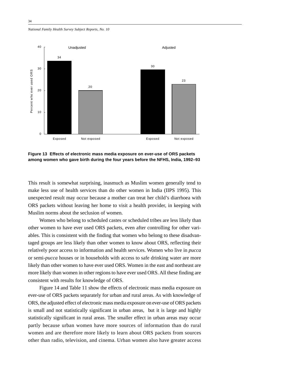*National Family Health Survey Subject Reports, No. 10*



**Figure 13 Effects of electronic mass media exposure on ever-use of ORS packets among women who gave birth during the four years before the NFHS, India, 1992–93**

This result is somewhat surprising, inasmuch as Muslim women generally tend to make less use of health services than do other women in India (IIPS 1995). This unexpected result may occur because a mother can treat her child's diarrhoea with ORS packets without leaving her home to visit a health provider, in keeping with Muslim norms about the seclusion of women.

Women who belong to scheduled castes or scheduled tribes are less likely than other women to have ever used ORS packets, even after controlling for other variables. This is consistent with the finding that women who belong to these disadvantaged groups are less likely than other women to know about ORS, reflecting their relatively poor access to information and health services. Women who live in *pucca* or semi-*pucca* houses or in households with access to safe drinking water are more likely than other women to have ever used ORS. Women in the east and northeast are more likely than women in other regions to have ever used ORS. All these finding are consistent with results for knowledge of ORS.

Figure 14 and Table 11 show the effects of electronic mass media exposure on ever-use of ORS packets separately for urban and rural areas. As with knowledge of ORS, the adjusted effect of electronic mass media exposure on ever-use of ORS packets is small and not statistically significant in urban areas, but it is large and highly statistically significant in rural areas. The smaller effect in urban areas may occur partly because urban women have more sources of information than do rural women and are therefore more likely to learn about ORS packets from sources other than radio, television, and cinema. Urban women also have greater access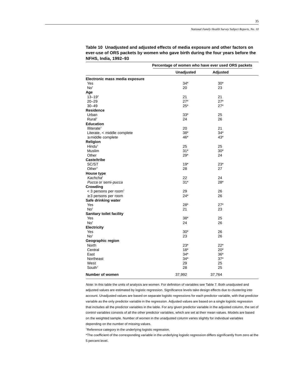|                                   | Percentage of women who have ever used ORS packets |                |
|-----------------------------------|----------------------------------------------------|----------------|
|                                   | <b>Unadjusted</b>                                  | Adjusted       |
| Electronic mass media exposure    |                                                    |                |
| Yes                               | $34*$                                              | $30*$          |
| No <sup>t</sup>                   | 20                                                 | 23             |
| Age                               |                                                    |                |
| $13 - 19$ <sup>t</sup>            | 21                                                 | 21             |
| $20 - 29$                         | $27*$                                              | $27*$          |
| $30 - 49$                         | $25*$                                              | $27*$          |
| <b>Residence</b>                  |                                                    |                |
| Urban                             | $33*$                                              | 25             |
| Rural <sup>+</sup>                | 24                                                 | 26             |
| <b>Education</b>                  |                                                    |                |
| Illiterate <sup>†</sup>           | 20                                                 | 21             |
| Literate, < middle complete       | $38*$                                              | $34*$          |
| $\geq$ middle complete            | 46*                                                | $43*$          |
| Religion                          |                                                    |                |
| Hindu <sup>+</sup>                | 25                                                 | 25             |
| Muslim                            | $31*$                                              | $30*$          |
| Other                             | $29*$                                              | 24             |
| Caste/tribe                       |                                                    |                |
| SC/ST                             | $19*$                                              | $23*$          |
| Other <sup>+</sup>                | 28                                                 | 27             |
| House type                        |                                                    |                |
| Kachcha <sup>t</sup>              | 22                                                 | 24             |
| Pucca or semi-pucca               | $31*$                                              | 28*            |
| Crowding                          |                                                    |                |
| < 3 persons per room <sup>+</sup> | 29                                                 | 26             |
| $\geq$ 3 persons per room         | $24*$                                              | 26             |
| Safe drinking water               |                                                    |                |
| Yes                               | $28*$                                              | $27*$          |
| No <sup>t</sup>                   | 21                                                 | 23             |
| <b>Sanitary toilet facility</b>   |                                                    |                |
| Yes                               | $38*$                                              | 25             |
| No <sup>t</sup>                   | 24                                                 | 26             |
| <b>Electricity</b>                |                                                    |                |
| Yes                               | $30*$                                              | 26             |
|                                   |                                                    |                |
| No <sup>t</sup>                   | 23                                                 | 26             |
| Geographic region                 |                                                    |                |
| <b>North</b>                      | $23*$                                              | $22*$<br>$20*$ |
| Central                           | $18*$                                              |                |
| East                              | 34*                                                | $36*$          |
| Northeast                         | $34*$                                              | $37*$          |
| West                              | 29                                                 | 25             |
| South <sup>+</sup>                | 28                                                 | 25             |
| Number of women                   | 37,992                                             | 37,764         |

**Table 10 Unadjusted and adjusted effects of media exposure and other factors on ever-use of ORS packets by women who gave birth during the four years before the NFHS, India, 1992–93**

Note: In this table the units of analysis are women. For definition of variables see Table 7. Both unadjusted and adjusted values are estimated by logistic regression. Significance levels take design effects due to clustering into account. Unadjusted values are based on separate logistic regressions for each predictor variable, with that predictor variable as the only predictor variable in the regression. Adjusted values are based on a single logistic regression that includes all the predictor variables in the table. For any given predictor variable in the adjusted column, the set of control variables consists of all the other predictor variables, which are set at their mean values. Models are based on the weighted sample. Number of women in the unadjusted column varies slightly for individual variables depending on the number of missing values.

†Reference category in the underlying logistic regression.

\*The coefficient of the corresponding variable in the underlying logistic regression differs significantly from zero at the 5 percent level.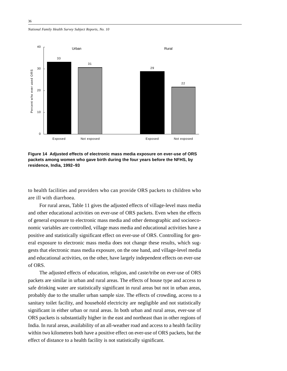*National Family Health Survey Subject Reports, No. 10*



**Figure 14 Adjusted effects of electronic mass media exposure on ever-use of ORS packets among women who gave birth during the four years before the NFHS, by residence, India, 1992–93**

to health facilities and providers who can provide ORS packets to children who are ill with diarrhoea.

For rural areas, Table 11 gives the adjusted effects of village-level mass media and other educational activities on ever-use of ORS packets. Even when the effects of general exposure to electronic mass media and other demographic and socioeconomic variables are controlled, village mass media and educational activities have a positive and statistically significant effect on ever-use of ORS. Controlling for general exposure to electronic mass media does not change these results, which suggests that electronic mass media exposure, on the one hand, and village-level media and educational activities, on the other, have largely independent effects on ever-use of ORS.

The adjusted effects of education, religion, and caste/tribe on ever-use of ORS packets are similar in urban and rural areas. The effects of house type and access to safe drinking water are statistically significant in rural areas but not in urban areas, probably due to the smaller urban sample size. The effects of crowding, access to a sanitary toilet facility, and household electricity are negligible and not statistically significant in either urban or rural areas. In both urban and rural areas, ever-use of ORS packets is substantially higher in the east and northeast than in other regions of India. In rural areas, availability of an all-weather road and access to a health facility within two kilometres both have a positive effect on ever-use of ORS packets, but the effect of distance to a health facility is not statistically significant.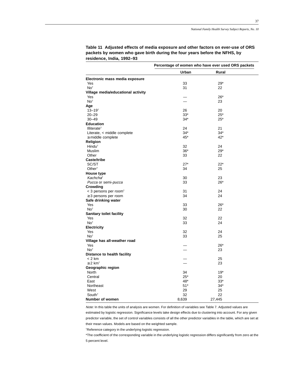|                                     |       | Percentage of women who have ever used ORS packets |
|-------------------------------------|-------|----------------------------------------------------|
|                                     | Urban | Rural                                              |
| Electronic mass media exposure      |       |                                                    |
| Yes                                 | 33    | $29*$                                              |
| No <sup>t</sup>                     | 31    | 22                                                 |
| Village media/educational activity  |       |                                                    |
| Yes                                 |       | $26*$                                              |
| No <sup>+</sup>                     |       | 23                                                 |
| Age                                 |       |                                                    |
| $13 - 19$ <sup>t</sup>              | 26    | 20                                                 |
| $20 - 29$                           | $33*$ | $25*$                                              |
| $30 - 49$                           | $34*$ | $25*$                                              |
| <b>Education</b>                    |       |                                                    |
| Illiterate <sup>+</sup>             | 24    | 21                                                 |
| Literate, < middle complete         | 34*   | $34*$                                              |
| $\geq$ middle complete              | 45*   | 42*                                                |
| Religion                            |       |                                                    |
| Hindu <sup>+</sup>                  | 32    | 24                                                 |
| Muslim                              | $36*$ | $29*$                                              |
| Other                               | 33    | 22                                                 |
| <b>Caste/tribe</b>                  |       |                                                    |
| SC/ST                               | $27*$ | $22*$                                              |
| Other <sup>+</sup>                  | 34    | 25                                                 |
| <b>House type</b>                   |       |                                                    |
| Kachcha <sup>t</sup>                | 30    | 23                                                 |
| Pucca or semi-pucca                 | 33    | $26*$                                              |
| Crowding                            |       |                                                    |
| $<$ 3 persons per room <sup>+</sup> | 31    | 24                                                 |
| $\geq$ 3 persons per room           | 34    | 24                                                 |
| Safe drinking water                 |       |                                                    |
| Yes                                 | 33    | $26*$                                              |
| No <sup>†</sup>                     | 30    | 22                                                 |
| Sanitary toilet facility            |       |                                                    |
| Yes                                 | 32    | 22                                                 |
| No <sup>t</sup>                     | 33    | 24                                                 |
| <b>Electricity</b>                  |       |                                                    |
| Yes                                 | 32    | 24                                                 |
| No <sup>+</sup>                     | 33    | 25                                                 |
| Village has all-weather road        |       |                                                    |
| Yes                                 |       | $26*$                                              |
| No <sup>t</sup>                     |       | 23                                                 |
| Distance to health facility         |       |                                                    |
| $< 2$ km                            |       | 25                                                 |
| $\geq$ 2 km <sup>+</sup>            |       | 23                                                 |
| Geographic region                   |       |                                                    |
| North                               | 34    | $19*$                                              |
| Central                             | $25*$ | 20                                                 |
| East                                | 48*   | $33*$                                              |
| Northeast                           | $51*$ | $34*$                                              |
| West                                | 29    | 25                                                 |
| South <sup>†</sup>                  | 32    | 22                                                 |
| Number of women                     | 8,639 | 27,445                                             |

**Table 11 Adjusted effects of media exposure and other factors on ever-use of ORS packets by women who gave birth during the four years before the NFHS, by residence, India, 1992–93**

Note: In this table the units of analysis are women. For definition of variables see Table 7. Adjusted values are estimated by logistic regression. Significance levels take design effects due to clustering into account. For any given predictor variable, the set of control variables consists of all the other predictor variables in the table, which are set at their mean values. Models are based on the weighted sample.

†Reference category in the underlying logistic regression.

\*The coefficient of the corresponding variable in the underlying logistic regression differs significantly from zero at the 5 percent level.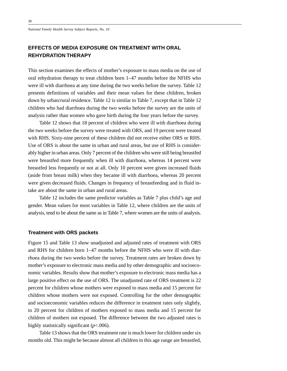*National Family Health Survey Subject Reports, No. 10*

# **EFFECTS OF MEDIA EXPOSURE ON TREATMENT WITH ORAL REHYDRATION THERAPY**

This section examines the effects of mother's exposure to mass media on the use of oral rehydration therapy to treat children born 1–47 months before the NFHS who were ill with diarrhoea at any time during the two weeks before the survey. Table 12 presents definitions of variables and their mean values for these children, broken down by urban/rural residence. Table 12 is similar to Table 7, except that in Table 12 children who had diarrhoea during the two weeks before the survey are the units of analysis rather than women who gave birth during the four years before the survey.

Table 12 shows that 18 percent of children who were ill with diarrhoea during the two weeks before the survey were treated with ORS, and 19 percent were treated with RHS. Sixty-nine percent of these children did not receive either ORS or RHS. Use of ORS is about the same in urban and rural areas, but use of RHS is considerably higher in urban areas. Only 7 percent of the children who were still being breastfed were breastfed more frequently when ill with diarrhoea, whereas 14 percent were breastfed less frequently or not at all. Only 10 percent were given increased fluids (aside from breast milk) when they became ill with diarrhoea, whereas 20 percent were given decreased fluids. Changes in frequency of breastfeeding and in fluid intake are about the same in urban and rural areas.

Table 12 includes the same predictor variables as Table 7 plus child's age and gender. Mean values for most variables in Table 12, where children are the units of analysis, tend to be about the same as in Table 7, where women are the units of analysis.

#### **Treatment with ORS packets**

Figure 15 and Table 13 show unadjusted and adjusted rates of treatment with ORS and RHS for children born 1–47 months before the NFHS who were ill with diarrhoea during the two weeks before the survey. Treatment rates are broken down by mother's exposure to electronic mass media and by other demographic and socioeconomic variables. Results show that mother's exposure to electronic mass media has a large positive effect on the use of ORS. The unadjusted rate of ORS treatment is 22 percent for children whose mothers were exposed to mass media and 15 percent for children whose mothers were not exposed. Controlling for the other demographic and socioeconomic variables reduces the difference in treatment rates only slightly, to 20 percent for children of mothers exposed to mass media and 15 percent for children of mothers not exposed. The difference between the two adjusted rates is highly statistically significant (*p*<.006).

Table 13 shows that the ORS treatment rate is much lower for children under six months old. This might be because almost all children in this age range are breastfed,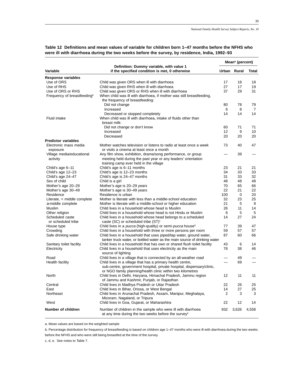|                                         |                                                                                                                                 |     | Mean <sup>a</sup> (percent) |       |  |  |
|-----------------------------------------|---------------------------------------------------------------------------------------------------------------------------------|-----|-----------------------------|-------|--|--|
| Variable                                | Definition: Dummy variable, with value 1<br>if the specified condition is met, 0 otherwise                                      |     | Urban Rural                 | Total |  |  |
| <b>Response variables</b>               |                                                                                                                                 |     |                             |       |  |  |
| Use of ORS                              | Child was given ORS when ill with diarrhoea                                                                                     | 17  | 18                          | 18    |  |  |
| Use of RHS                              | Child was given RHS when ill with diarrhoea                                                                                     | 27  | 17                          | 19    |  |  |
| Use of ORS or RHS                       | Child was given ORS or RHS when ill with diarrhoea                                                                              | 37  | 29                          | 31    |  |  |
| Frequency of breastfeeding <sup>b</sup> | When child was ill with diarrhoea, if mother was still breastfeeding,                                                           |     |                             |       |  |  |
|                                         | the frequency of breastfeeding:                                                                                                 |     |                             |       |  |  |
|                                         | Did not change                                                                                                                  | 80  | 78                          | 79    |  |  |
|                                         | Increased                                                                                                                       | 6   | 8                           | 7     |  |  |
|                                         | Decreased or stopped completely                                                                                                 | 14  | 14                          | 14    |  |  |
| <b>Fluid intake</b>                     | When child was ill with diarrhoea, intake of fluids other than                                                                  |     |                             |       |  |  |
|                                         | breast milk:                                                                                                                    |     |                             |       |  |  |
|                                         | Did not change or don't know                                                                                                    | 60  | 71                          | 71    |  |  |
|                                         | Increased                                                                                                                       | 12  | 9                           | 10    |  |  |
|                                         | Decreased                                                                                                                       | 20  | 20                          | 20    |  |  |
| <b>Predictor variables</b>              |                                                                                                                                 |     |                             |       |  |  |
|                                         |                                                                                                                                 | 73  | 40                          | 47    |  |  |
| Electronic mass media                   | Mother watches television or listens to radio at least once a week                                                              |     |                             |       |  |  |
| exposure                                | or visits a cinema at least once a month                                                                                        |     |                             |       |  |  |
| Village media/educational               | Any film show, exhibition, drama/song performance, or group                                                                     |     | 39                          |       |  |  |
| activity                                | meeting held during the past year or any leaders' orientation                                                                   |     |                             |       |  |  |
|                                         | training camp ever held in the village                                                                                          |     |                             |       |  |  |
| Child's age 6–11                        | Child's age is 6-11 months                                                                                                      | 23  | 21                          | 21    |  |  |
| Child's age 12-23                       | Child's age is 12-23 months                                                                                                     | 34  | 33                          | 33    |  |  |
| Child's age 24-47                       | Child's age is 24-47 months                                                                                                     | 31  | 33                          | 32    |  |  |
| Sex of child                            | Child is a girl                                                                                                                 | 48  | 48                          | 48    |  |  |
| Mother's age 20-29                      | Mother's age is 20-29 years                                                                                                     | 70  | 65                          | 66    |  |  |
| Mother's age 30-49                      | Mother's age is 30-49 years                                                                                                     | 22  | 21                          | 22    |  |  |
| Residence                               | Residence is urban                                                                                                              | 100 | 0                           | 20    |  |  |
| Literate, < middle complete             | Mother is literate with less than a middle-school education                                                                     | 32  | 23                          | 25    |  |  |
| $\geq$ middle complete                  | Mother is literate with a middle-school or higher education                                                                     | 21  | 5                           | 9     |  |  |
| Muslim                                  | Child lives in a household whose head is Muslim                                                                                 | 26  | 11                          | 14    |  |  |
| Other religion                          | Child lives in a household whose head is not Hindu or Muslim                                                                    | 6   | 5                           | 5     |  |  |
| Scheduled caste<br>or scheduled tribe   | Child lives in a household whose head belongs to a scheduled<br>caste (SC) or scheduled tribe (ST) <sup>c</sup>                 | 14  | 27                          | 24    |  |  |
|                                         | Child lives in a pucca (high-quality) or semi-pucca house <sup>d</sup>                                                          | 77  | 39                          | 47    |  |  |
| House type                              |                                                                                                                                 | 59  | 57                          | 57    |  |  |
| Crowding                                | Child lives in a household with three or more persons per room                                                                  | 87  |                             |       |  |  |
| Safe drinking water                     | Child lives in a household that uses piped/tap water, ground water,                                                             |     | 60                          | 66    |  |  |
|                                         | tanker truck water, or bottled water as the main source of drinking water                                                       |     |                             |       |  |  |
| Sanitary toilet facility                | Child lives in a household that has own or shared flush toilet facility                                                         | 43  | 6                           | 14    |  |  |
| Electricity                             | Child lives in a household that uses electricity as the main<br>source of lighting                                              | 78  | 38                          | 46    |  |  |
| Road                                    | Child lives in a village that is connected by an all-weather road                                                               |     | 49                          |       |  |  |
| Health facility                         | Child lives in a village that has a primary health centre,                                                                      |     | 69                          |       |  |  |
|                                         | sub-centre, government hospital, private hospital, dispensary/clinic,                                                           |     |                             |       |  |  |
|                                         | or NGO family planning/health clinic within two kilometres                                                                      |     |                             |       |  |  |
| North                                   | Child lives in Delhi, Haryana, Himachal Pradesh, Jammu region                                                                   | 12  | 11                          | 11    |  |  |
|                                         | of Jammu and Kashmir, Punjab, or Rajasthan                                                                                      |     |                             |       |  |  |
| Central                                 | Child lives in Madhya Pradesh or Uttar Pradesh                                                                                  | 22  | 26                          | 25    |  |  |
| East                                    | Child lives in Bihar, Orissa, or West Bengal                                                                                    | 14  | 27                          | 25    |  |  |
| Northeast                               | Child lives in Arunachal Pradesh, Assam, Manipur, Meghalaya,                                                                    | 2   | 3                           | 3     |  |  |
|                                         | Mizoram, Nagaland, or Tripura                                                                                                   |     |                             |       |  |  |
| West                                    | Child lives in Goa, Gujarat, or Maharashtra                                                                                     | 22  | 12                          | 14    |  |  |
|                                         |                                                                                                                                 |     |                             |       |  |  |
| Number of children                      | Number of children in the sample who were ill with diarrhoea<br>at any time during the two weeks before the survey <sup>e</sup> | 932 | 3,626                       | 4,558 |  |  |

# **Table 12 Definitions and mean values of variable for children born 1–47 months before the NFHS who were ill with diarrhoea during the two weeks before the survey, by residence, India, 1992–93**

a. Mean values are based on the weighted sample

b. Percentage distribution for frequency of breastfeeding is based on children age 1–47 months who were ill with diarrhoea during the two weeks before the NFHS and who were still being breastfed at the time of the survey.

c, d, e. See notes to Table 7.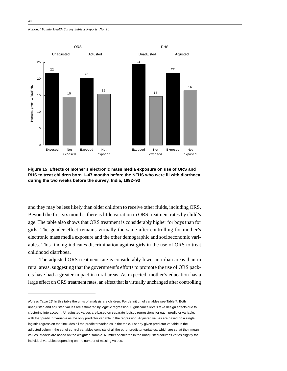*National Family Health Survey Subject Reports, No. 10*





and they may be less likely than older children to receive other fluids, including ORS. Beyond the first six months, there is little variation in ORS treatment rates by child's age. The table also shows that ORS treatment is considerably higher for boys than for girls. The gender effect remains virtually the same after controlling for mother's electronic mass media exposure and the other demographic and socioeconomic variables. This finding indicates discrimination against girls in the use of ORS to treat childhood diarrhoea.

The adjusted ORS treatment rate is considerably lower in urban areas than in rural areas, suggesting that the government's efforts to promote the use of ORS packets have had a greater impact in rural areas. As expected, mother's education has a large effect on ORS treatment rates, an effect that is virtually unchanged after controlling

Note to Table 13: In this table the units of analysis are children. For definition of variables see Table 7. Both unadjusted and adjusted values are estimated by logistic regression. Significance levels take design effects due to clustering into account. Unadjusted values are based on separate logistic regressions for each predictor variable, with that predictor variable as the only predictor variable in the regression. Adjusted values are based on a single logistic regression that includes all the predictor variables in the table. For any given predictor variable in the adjusted column, the set of control variables consists of all the other predictor variables, which are set at their mean values. Models are based on the weighted sample. Number of children in the unadjusted columns varies slightly for individual variables depending on the number of missing values.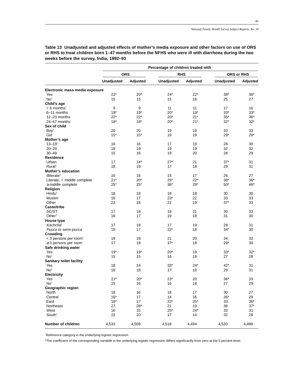**Percentage of children treated with ORS RHS ORS or RHS Unadjusted Adjusted Unadjusted Adjusted Unadjusted Adjusted Electronic mass media exposure**  $Y$ es 38\* 22\* 20\* 24\* 24\* 38\* 36\* 36\* No† 15 15 15 16 25 27 **Child's age** < 6 months† 9 9 11 11 17 16 6–11 months 19\* 19\* 20\* 19\* 33\* 33\*  $12-23$  months  $18^*$   $18^*$   $18^*$   $18^*$   $18^*$   $20^*$   $21^*$   $35^*$   $36^*$   $32^*$   $32^*$ 24–47 months 18\* 18\* 20\* 21\* 32\* 32\* **Sex of child** Boy† 20 20 19 19 33 33  $G$ irl 15\* 15\* 19 19 29\* 29\* 29\* **Mother's age**  $13-19$ † 16  $16$  16 17 19 28 30 20–29 19 19 19 19 32 32 30–49 15 16 19 20 28 29 **Residence** Urban 17 14\* 27\* 21 37\* 31 Rural† 18 19 17 18 29 31 **Mother's education** Illiterate† 16 16 15 17 26 27 Literate, < middle complete  $21^*$   $20^*$   $25^*$   $22^*$   $38^*$   $36^*$  $\ge$  middle complete 25<sup>\*</sup> 25<sup>\*</sup> 25<sup>\*</sup> 36<sup>\*</sup> 29<sup>\*</sup> 50<sup>\*</sup> 46<sup>\*</sup> **Religion** Hindu† 18 18 18 18 30 30 Muslim 16 17 23\* 22 33 33 Other 22 18 22 19 37\* 33 **Caste/tribe** SC/ST 17 18 18 21 30 33 Other† 18 17 19 18 31 30 **House type** Kachcha† 17 18 17 19 28 31 Pucca or semi-pucca  $19$  17  $22^*$  18  $34^*$  30 **Crowding** < 3 persons per room† 19 18 21 20 34 32 ≥ 3 persons per room 17 18 17\* 18 29\* 30 **Safe drinking water**  $Y$ es 19\* 19\* 19\* 20\* 19 33\* 32\*  $N$ o<sup>†</sup> 15 15 16 16 18 27 28 **Sanitary toilet facility** Yes 18 14 33\* 24\* 42\* 31  $N$ o<sup>†</sup> 18 18 18 17 18 29 31 **Electricity**  $Y$ es 20\*  $20^*$   $20^*$   $23^*$   $20$   $36^*$   $33$  $N$ o<sup>†</sup> 15 16 16 18 27 29 **Geographic region** North 18 16 18 17 30 27 Central 16\* 17 14 16 26\* 29  $\,$  East  $\,$  16\*  $\,$  17  $\,$   $\,$  22\*  $\,$  25\*  $\,$  33  $\,$  36\*  $\,$  36\*  $\,$ Northeast 27 28\* 21 19 38 37\* West 16 15 25\* 24\* 33 31  $South<sup>†</sup>$  22 20 17 14 32 28 **Number of children**  $4,533$   $4,509$   $4,518$   $4,494$   $4,520$   $4,496$ 

**Table 13 Unadjusted and adjusted effects of mother's media exposure and other factors on use of ORS or RHS to treat children born 1–47 months before the NFHS who were ill with diarrhoea during the two weeks before the survey, India, 1992–93**

†Reference category in the underlying logistic regression.

\*The coefficient of the corresponding variable in the underlying logistic regression differs significantly from zero at the 5 percent level.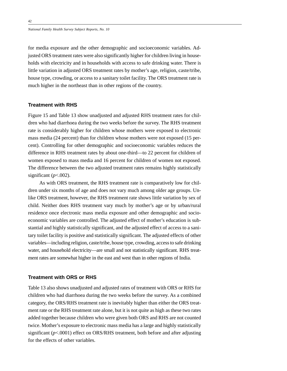for media exposure and the other demographic and socioeconomic variables. Adjusted ORS treatment rates were also significantly higher for children living in households with electricity and in households with access to safe drinking water. There is little variation in adjusted ORS treatment rates by mother's age, religion, caste/tribe, house type, crowding, or access to a sanitary toilet facility. The ORS treatment rate is much higher in the northeast than in other regions of the country.

#### **Treatment with RHS**

Figure 15 and Table 13 show unadjusted and adjusted RHS treatment rates for children who had diarrhoea during the two weeks before the survey. The RHS treatment rate is considerably higher for children whose mothers were exposed to electronic mass media (24 percent) than for children whose mothers were not exposed (15 percent). Controlling for other demographic and socioeconomic variables reduces the difference in RHS treatment rates by about one-third—to 22 percent for children of women exposed to mass media and 16 percent for children of women not exposed. The difference between the two adjusted treatment rates remains highly statistically significant  $(p<.002)$ .

As with ORS treatment, the RHS treatment rate is comparatively low for children under six months of age and does not vary much among older age groups. Unlike ORS treatment, however, the RHS treatment rate shows little variation by sex of child. Neither does RHS treatment vary much by mother's age or by urban/rural residence once electronic mass media exposure and other demographic and socioeconomic variables are controlled. The adjusted effect of mother's education is substantial and highly statistically significant, and the adjusted effect of access to a sanitary toilet facility is positive and statistically significant. The adjusted effects of other variables—including religion, caste/tribe, house type, crowding, access to safe drinking water, and household electricity—are small and not statistically significant. RHS treatment rates are somewhat higher in the east and west than in other regions of India.

#### **Treatment with ORS or RHS**

Table 13 also shows unadjusted and adjusted rates of treatment with ORS or RHS for children who had diarrhoea during the two weeks before the survey. As a combined category, the ORS/RHS treatment rate is inevitably higher than either the ORS treatment rate or the RHS treatment rate alone, but it is not quite as high as these two rates added together because children who were given both ORS and RHS are not counted twice. Mother's exposure to electronic mass media has a large and highly statistically significant (*p*<.0001) effect on ORS/RHS treatment, both before and after adjusting for the effects of other variables.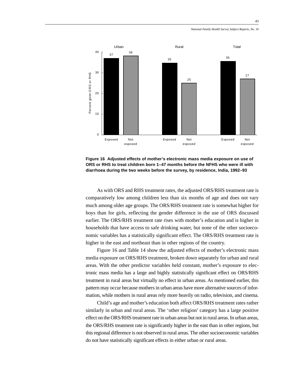

**Figure 16 Adjusted effects of mother's electronic mass media exposure on use of ORS or RHS to treat children born 1–47 months before the NFHS who were ill with diarrhoea during the two weeks before the survey, by residence, India, 1992–93**

As with ORS and RHS treatment rates, the adjusted ORS/RHS treatment rate is comparatively low among children less than six months of age and does not vary much among older age groups. The ORS/RHS treatment rate is somewhat higher for boys than for girls, reflecting the gender difference in the use of ORS discussed earlier. The ORS/RHS treatment rate rises with mother's education and is higher in households that have access to safe drinking water, but none of the other socioeconomic variables has a statistically significant effect. The ORS/RHS treatment rate is higher in the east and northeast than in other regions of the country.

Figure 16 and Table 14 show the adjusted effects of mother's electronic mass media exposure on ORS/RHS treatment, broken down separately for urban and rural areas. With the other predictor variables held constant, mother's exposure to electronic mass media has a large and highly statistically significant effect on ORS/RHS treatment in rural areas but virtually no effect in urban areas. As mentioned earlier, this pattern may occur because mothers in urban areas have more alternative sources of information, while mothers in rural areas rely more heavily on radio, television, and cinema.

Child's age and mother's education both affect ORS/RHS treatment rates rather similarly in urban and rural areas. The 'other religion' category has a large positive effect on the ORS/RHS treatment rate in urban areas but not in rural areas. In urban areas, the ORS/RHS treatment rate is significantly higher in the east than in other regions, but this regional difference is not observed in rural areas. The other socioeconomic variables do not have statistically significant effects in either urban or rural areas.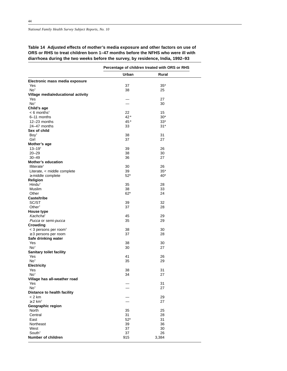# **Table 14 Adjusted effects of mother's media exposure and other factors on use of ORS or RHS to treat children born 1–47 months before the NFHS who were ill with diarrhoea during the two weeks before the survey, by residence, India, 1992–93**

|                                      |           | Percentage of children treated with ORS or RHS |  |
|--------------------------------------|-----------|------------------------------------------------|--|
|                                      | Urban     | Rural                                          |  |
| Electronic mass media exposure       |           |                                                |  |
| Yes                                  | 37        | $35*$                                          |  |
| No <sup>†</sup>                      | 38        | 25                                             |  |
| Village media/educational activity   |           |                                                |  |
| Yes                                  |           | 27                                             |  |
| No <sup>t</sup>                      | ÷.        | 30                                             |  |
| Child's age                          |           |                                                |  |
| $< 6$ months <sup>†</sup>            | 22        | 15                                             |  |
| 6-11 months                          | $42*$     | $30*$                                          |  |
| 12-23 months<br>24-47 months         | 45*<br>33 | $33*$<br>$31*$                                 |  |
| Sex of child                         |           |                                                |  |
| Boy <sup>+</sup>                     | 38        | 31                                             |  |
| Girl                                 | 37        | 27                                             |  |
| Mother's age                         |           |                                                |  |
| $13 - 19^{+}$                        | 39        | 26                                             |  |
| $20 - 29$                            | 38        | 30                                             |  |
| $30 - 49$                            | 36        | 27                                             |  |
| <b>Mother's education</b>            |           |                                                |  |
| Illiterate <sup>+</sup>              | 30        | 26                                             |  |
| Literate, < middle complete          | 39        | $35*$                                          |  |
| $\geq$ middle complete               | $52*$     | 40*                                            |  |
| Religion<br>Hindu <sup>†</sup>       | 35        | 28                                             |  |
| Muslim                               | 38        | 33                                             |  |
| Other                                | $62*$     | 24                                             |  |
| Caste/tribe                          |           |                                                |  |
| SC/ST                                | 39        | 32                                             |  |
| Other <sup>+</sup>                   | 37        | 28                                             |  |
| House type                           |           |                                                |  |
| Kachcha <sup>t</sup>                 | 45        | 29                                             |  |
| Pucca or semi-pucca                  | 35        | 29                                             |  |
| Crowding                             |           |                                                |  |
| $<$ 3 persons per room <sup>+</sup>  | 38        | 30                                             |  |
| $\geq$ 3 persons per room            | 37        | 28                                             |  |
| Safe drinking water                  |           |                                                |  |
| Yes<br>No <sup>t</sup>               | 38<br>30  | 30<br>27                                       |  |
| <b>Sanitary toilet facility</b>      |           |                                                |  |
| Yes                                  | 41        | 26                                             |  |
| No <sup>t</sup>                      | 35        | 29                                             |  |
| <b>Electricity</b>                   |           |                                                |  |
| Yes                                  | 38        | 31                                             |  |
| No <sup>t</sup>                      | 34        | 27                                             |  |
| Village has all-weather road         |           |                                                |  |
| Yes                                  |           | 31                                             |  |
| No <sup>t</sup>                      |           | 27                                             |  |
| Distance to health facility          |           |                                                |  |
| $< 2$ km<br>$\geq 2$ km <sup>+</sup> |           | 29                                             |  |
| Geographic region                    |           | 27                                             |  |
| North                                | 35        | 25                                             |  |
| Central                              | 31        | 28                                             |  |
| East                                 | $52*$     | 31                                             |  |
| Northeast                            | 39        | 36                                             |  |
| West                                 | 37        | 30                                             |  |
| South <sup>+</sup>                   | 37        | 26                                             |  |
| Number of children                   | 915       | 3,384                                          |  |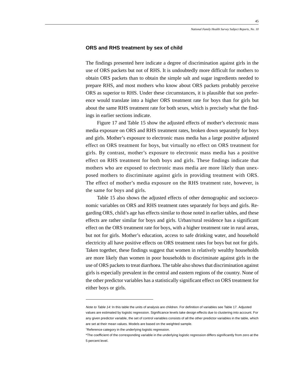#### **ORS and RHS treatment by sex of child**

The findings presented here indicate a degree of discrimination against girls in the use of ORS packets but not of RHS. It is undoubtedly more difficult for mothers to obtain ORS packets than to obtain the simple salt and sugar ingredients needed to prepare RHS, and most mothers who know about ORS packets probably perceive ORS as superior to RHS. Under these circumstances, it is plausible that son preference would translate into a higher ORS treatment rate for boys than for girls but about the same RHS treatment rate for both sexes, which is precisely what the findings in earlier sections indicate.

Figure 17 and Table 15 show the adjusted effects of mother's electronic mass media exposure on ORS and RHS treatment rates, broken down separately for boys and girls. Mother's exposure to electronic mass media has a large positive adjusted effect on ORS treatment for boys, but virtually no effect on ORS treatment for girls. By contrast, mother's exposure to electronic mass media has a positive effect on RHS treatment for both boys and girls. These findings indicate that mothers who are exposed to electronic mass media are more likely than unexposed mothers to discriminate against girls in providing treatment with ORS. The effect of mother's media exposure on the RHS treatment rate, however, is the same for boys and girls.

Table 15 also shows the adjusted effects of other demographic and socioeconomic variables on ORS and RHS treatment rates separately for boys and girls. Regarding ORS, child's age has effects similar to those noted in earlier tables, and these effects are rather similar for boys and girls. Urban/rural residence has a significant effect on the ORS treatment rate for boys, with a higher treatment rate in rural areas, but not for girls. Mother's education, access to safe drinking water, and household electricity all have positive effects on ORS treatment rates for boys but not for girls. Taken together, these findings suggest that women in relatively wealthy households are more likely than women in poor households to discriminate against girls in the use of ORS packets to treat diarrhoea. The table also shows that discrimination against girls is especially prevalent in the central and eastern regions of the country. None of the other predictor variables has a statistically significant effect on ORS treatment for either boys or girls.

Note to Table 14: In this table the units of analysis are children. For definition of variables see Table 17. Adjusted values are estimated by logistic regression. Significance levels take design effects due to clustering into account. For any given predictor variable, the set of control variables consists of all the other predictor variables in the table, which are set at their mean values. Models are based on the weighted sample.

<sup>†</sup>Reference category in the underlying logistic regression.

<sup>\*</sup>The coefficient of the corresponding variable in the underlying logistic regression differs significantly from zero at the 5 percent level.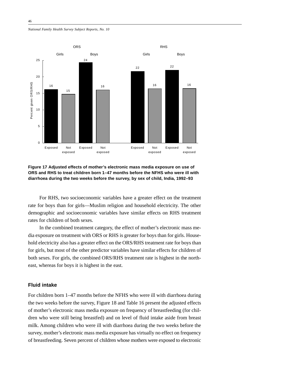*National Family Health Survey Subject Reports, No. 10*



**Figure 17 Adjusted effects of mother's electronic mass media exposure on use of ORS and RHS to treat children born 1–47 months before the NFHS who were ill with diarrhoea during the two weeks before the survey, by sex of child, India, 1992–93**

For RHS, two socioeconomic variables have a greater effect on the treatment rate for boys than for girls—Muslim religion and household electricity. The other demographic and socioeconomic variables have similar effects on RHS treatment rates for children of both sexes.

In the combined treatment category, the effect of mother's electronic mass media exposure on treatment with ORS or RHS is greater for boys than for girls. Household electricity also has a greater effect on the ORS/RHS treatment rate for boys than for girls, but most of the other predictor variables have similar effects for children of both sexes. For girls, the combined ORS/RHS treatment rate is highest in the northeast, whereas for boys it is highest in the east.

# **Fluid intake**

For children born 1–47 months before the NFHS who were ill with diarrhoea during the two weeks before the survey, Figure 18 and Table 16 present the adjusted effects of mother's electronic mass media exposure on frequency of breastfeeding (for children who were still being breastfed) and on level of fluid intake aside from breast milk. Among children who were ill with diarrhoea during the two weeks before the survey, mother's electronic mass media exposure has virtually no effect on frequency of breastfeeding. Seven percent of children whose mothers were exposed to electronic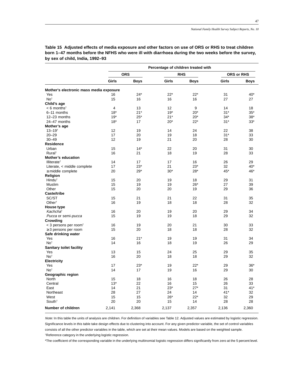|                                               |                | Percentage of children treated with |       |             |       |                   |
|-----------------------------------------------|----------------|-------------------------------------|-------|-------------|-------|-------------------|
|                                               |                | <b>ORS</b>                          |       | <b>RHS</b>  |       | <b>ORS or RHS</b> |
|                                               | Girls          | <b>Boys</b>                         | Girls | <b>Boys</b> | Girls | <b>Boys</b>       |
| Mother's electronic mass media exposure       |                |                                     |       |             |       |                   |
| Yes                                           | 16             | $24*$                               | $22*$ | $22*$       | 31    | $40*$             |
| No <sup>t</sup>                               | 15             | 16                                  | 16    | 16          | 27    | 27                |
| Child's age                                   |                |                                     |       |             |       |                   |
| $< 6$ months <sup>†</sup>                     | $\overline{4}$ | 13                                  | 12    | 9           | 14    | 18                |
| 6-11 months                                   | $18*$          | $21*$                               | $19*$ | $20*$       | $31*$ | $35*$             |
| 12-23 months                                  | $19*$          | $25*$                               | $21*$ | $20*$       | $34*$ | $38*$             |
| 24-47 months                                  | $18*$          | 17                                  | $20*$ | $22*$       | $31*$ | $33*$             |
| Mother's age                                  |                |                                     |       |             |       |                   |
| $13 - 19$ <sup>t</sup>                        | 12             | 19                                  | 14    | 24          | 22    | 38                |
| $20 - 29$                                     | 17             | 20                                  | 19    | 18          | $31*$ | 33                |
| $30 - 49$                                     | 12             | 19                                  | 21    | 20          | 28    | 30                |
| <b>Residence</b>                              |                |                                     |       |             |       |                   |
| Urban                                         | 15             | $14*$                               | 22    | 20          | 31    | 30                |
| Rural <sup>+</sup>                            | 16             | 21                                  | 18    | 19          | 28    | 33                |
|                                               |                |                                     |       |             |       |                   |
| Mother's education<br>Illiterate <sup>†</sup> |                |                                     |       |             |       |                   |
|                                               | 14             | 17                                  | 17    | 16          | 26    | 29                |
| Literate, < middle complete                   | 17             | $23*$                               | 21    | $23*$       | 32    | $40*$             |
| $\geq$ middle complete                        | 20             | $29*$                               | $30*$ | $28*$       | 45*   | 46*               |
| Religion                                      |                |                                     |       |             |       |                   |
| Hindu <sup>+</sup>                            | 15             | 20                                  | 19    | 18          | 29    | 31                |
| Muslim                                        | 15             | 19                                  | 19    | $26*$       | 27    | 39                |
| Other                                         | 15             | 20                                  | 20    | 19          | 29    | 36                |
| Caste/tribe                                   |                |                                     |       |             |       |                   |
| SC/ST                                         | 15             | 21                                  | 21    | 22          | 31    | 35                |
| Other <sup>t</sup>                            | 16             | 19                                  | 18    | 18          | 28    | 32                |
| <b>House type</b>                             |                |                                     |       |             |       |                   |
| Kachcha <sup>t</sup>                          | 16             | 20                                  | 19    | 20          | 29    | 34                |
| Pucca or semi-pucca                           | 15             | 19                                  | 19    | 18          | 29    | 32                |
| Crowding                                      |                |                                     |       |             |       |                   |
| $<$ 3 persons per room <sup>+</sup>           | 16             | 19                                  | 20    | 21          | 30    | 33                |
| $\geq$ 3 persons per room                     | 15             | 20                                  | 18    | 18          | 28    | 32                |
| Safe drinking water                           |                |                                     |       |             |       |                   |
| Yes                                           | 16             | $21*$                               | 19    | 19          | 31    | 34                |
| No <sup>+</sup>                               | 14             | 16                                  | 18    | 19          | 26    | 29                |
| Sanitary toilet facility                      |                |                                     |       |             |       |                   |
| Yes                                           | 13             | 15                                  | 24    | 25          | 29    | 35                |
| No <sup>+</sup>                               | 16             | 20                                  | 18    | 18          | 29    | 32                |
| <b>Electricity</b>                            |                |                                     |       |             |       |                   |
| Yes                                           | 17             | $23*$                               | 19    | 22*         | 29    | $36*$             |
| No <sup>t</sup>                               | 14             | 17                                  | 19    | 16          | 29    | 30                |
| Geographic region                             |                |                                     |       |             |       |                   |
| North                                         | 15             | 18                                  | 16    | 18          | 26    | 28                |
| Central                                       | $13*$          | 22                                  | 16    | 15          | 26    | 33                |
| East                                          | 14             | 21                                  | $23*$ | $27*$       | 31    | $41*$             |
|                                               |                |                                     |       |             |       |                   |
| Northeast                                     | 28             | 27                                  | 24    | 14          | $41*$ | 32                |
| West                                          | 15             | 15                                  | $26*$ | $22*$       | 32    | 29                |
| South <sup>+</sup>                            | 20             | 20                                  | 15    | 14          | 28    | 28                |
| Number of children                            | 2,141          | 2,368                               | 2,137 | 2,357       | 2,136 | 2,360             |

**Table 15 Adjusted effects of media exposure and other factors on use of ORS or RHS to treat children born 1–47 months before the NFHS who were ill with diarrhoea during the two weeks before the survey, by sex of child, India, 1992–93**

Note: In this table the units of analysis are children. For definition of variables see Table 12. Adjusted values are estimated by logistic regression. Significance levels in this table take design effects due to clustering into account. For any given predictor variable, the set of control variables consists of all the other predictor variables in the table, which are set at their mean values. Models are based on the weighted sample. †Reference category in the underlying logistic regression.

\*The coefficient of the corresponding variable in the underlying multinomial logistic regression differs significantly from zero at the 5 percent level.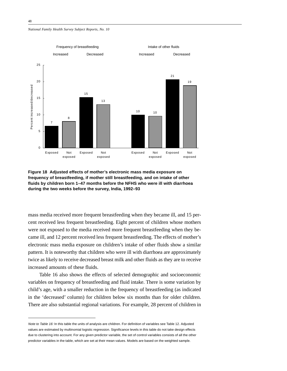#### *National Family Health Survey Subject Reports, No. 10*



**Figure 18 Adjusted effects of mother's electronic mass media exposure on frequency of breastfeeding, if mother still breastfeeding, and on intake of other fluids by children born 1–47 months before the NFHS who were ill with diarrhoea during the two weeks before the survey, India, 1992–93**

mass media received more frequent breastfeeding when they became ill, and 15 percent received less frequent breastfeeding. Eight percent of children whose mothers were not exposed to the media received more frequent breastfeeding when they became ill, and 12 percent received less frequent breastfeeding. The effects of mother's electronic mass media exposure on children's intake of other fluids show a similar pattern. It is noteworthy that children who were ill with diarrhoea are approximately twice as likely to receive decreased breast milk and other fluids as they are to receive increased amounts of these fluids.

Table 16 also shows the effects of selected demographic and socioeconomic variables on frequency of breastfeeding and fluid intake. There is some variation by child's age, with a smaller reduction in the frequency of breastfeeding (as indicated in the 'decreased' column) for children below six months than for older children. There are also substantial regional variations. For example, 28 percent of children in

Note to Table 16: In this table the units of analysis are children. For definition of variables see Table 12. Adjusted values are estimated by multinomial logistic regression. Significance levels in this table do not take design effects due to clustering into account. For any given predictor variable, the set of control variables consists of all the other predictor variables in the table, which are set at their mean values. Models are based on the weighted sample.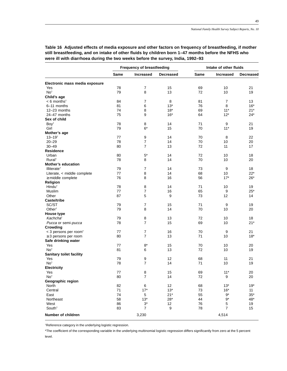|                                                       | <b>Frequency of breastfeeding</b> |                     | Intake of other fluids |          |                  |                  |
|-------------------------------------------------------|-----------------------------------|---------------------|------------------------|----------|------------------|------------------|
|                                                       | Same                              | <b>Increased</b>    | <b>Decreased</b>       | Same     | <b>Increased</b> | <b>Decreased</b> |
| Electronic mass media exposure                        |                                   |                     |                        |          |                  |                  |
| Yes                                                   | 78                                | $\overline{7}$      | 15                     | 69       | 10               | 21               |
| No <sup>t</sup>                                       | 79                                | 8                   | 13                     | 72       | 10               | 19               |
| Child's age                                           |                                   |                     |                        |          |                  |                  |
| $< 6$ months <sup>†</sup>                             | 84                                | 7                   | 8                      | 81       | 7                | 13               |
| 6-11 months                                           | 81                                | 6                   | $13*$                  | 76       | 8                | $16*$            |
| 12-23 months                                          | 74                                | 8                   | $18*$                  | 69       | $11*$            | $21*$            |
| 24-47 months                                          | 75                                | 9                   | $16*$                  | 64       | $12*$            | $24*$            |
| Sex of child                                          |                                   |                     |                        |          |                  |                  |
| Boy <sup>t</sup>                                      | 78                                | 8                   | 14                     | 71       | 9                | 21               |
| Girl                                                  | 79                                | $6*$                | 15                     | 70       | $11*$            | 19               |
| Mother's age                                          |                                   |                     |                        |          |                  |                  |
| $13 - 19$ <sup>t</sup>                                | 77                                | 9                   | 14                     | 70       | 8                | 22               |
| $20 - 29$                                             | 78                                | 7                   | 14                     | 70       | 10               | 20               |
| $30 - 49$                                             | 80                                | $\overline{7}$      | 13                     | 72       | 11               | 17               |
| Residence                                             |                                   |                     |                        |          |                  |                  |
| Urban                                                 | 80                                | $5*$                | 14                     | 72       | 10               | 18               |
| Rural <sup>+</sup>                                    | 78                                | 8                   | 14                     | 70       | 10               | 20               |
| <b>Mother's education</b>                             |                                   |                     |                        |          |                  |                  |
|                                                       |                                   |                     | 14                     |          | 9                | 18               |
| Illiterate <sup>†</sup>                               | 79<br>77                          | 7<br>8              | 14                     | 73<br>68 | 10               | $22*$            |
| Literate, < middle complete<br>$\geq$ middle complete | 76                                | 8                   |                        | 56       | $17*$            |                  |
|                                                       |                                   |                     | 16                     |          |                  | $26*$            |
| Religion<br>Hindu <sup>+</sup>                        |                                   |                     | 14                     |          |                  |                  |
|                                                       | 78                                | 8                   |                        | 71       | 10               | 19<br>$25*$      |
| Muslim<br>Other                                       | 77<br>87                          | 7<br>5              | 16<br>9                | 65<br>73 | 9                |                  |
| Caste/tribe                                           |                                   |                     |                        |          | 12               | 14               |
| SC/ST                                                 | 79                                | 7                   | 15                     | 71       | 9                | 19               |
|                                                       | 79                                | 8                   | 14                     | 70       |                  |                  |
| Other <sup><math>†</math></sup>                       |                                   |                     |                        |          | 10               | 20               |
| House type<br>Kachcha <sup>t</sup>                    | 79                                | 8                   | 13                     | 72       | 10               | 18               |
|                                                       | 78                                | $\overline{7}$      |                        | 69       | 10               |                  |
| Pucca or semi-pucca                                   |                                   |                     | 15                     |          |                  | $21*$            |
| Crowding                                              |                                   | $\overline{7}$      |                        |          |                  |                  |
| $<$ 3 persons per room <sup>+</sup>                   | 77                                |                     | 16                     | 70       | 9                | 21               |
| $\geq$ 3 persons per room                             | 80                                | $\overline{7}$      | 13                     | 71       | 10               | $18*$            |
| Safe drinking water                                   |                                   |                     |                        |          |                  |                  |
| Yes                                                   | 77                                | $8*$                | 15                     | 70       | 10               | 20               |
| No <sup>t</sup>                                       | 81                                | 6                   | 13                     | 72       | 10               | 19               |
| Sanitary toilet facility                              |                                   |                     |                        |          |                  |                  |
| Yes                                                   | 79                                | 9<br>$\overline{7}$ | 12                     | 68       | 11               | 21               |
| No <sup>t</sup>                                       | 78                                |                     | 14                     | 71       | 10               | 19               |
| Electricity                                           |                                   |                     |                        |          |                  |                  |
| Yes                                                   | 77                                | 8                   | 15                     | 69       | $11*$            | 20               |
| No <sup>t</sup>                                       | 80                                | $\overline{7}$      | 14                     | 72       | 9                | 20               |
| Geographic region                                     |                                   |                     |                        |          |                  |                  |
| North                                                 | 82                                | 6                   | 12                     | 68       | $13*$            | $19*$            |
| Central                                               | 71                                | $17*$               | $13*$                  | 73       | $16*$            | 11               |
| East                                                  | 74                                | 5                   | $21*$                  | 55       | $9^{\ast}$       | $35*$            |
| Northeast                                             | 58                                | $13*$               | $28*$                  | 44       | $9^*$            | $48^{\ast}$      |
| West                                                  | 86                                | $3^*$               | 12                     | 76       | 5                | 19               |
| South <sup>+</sup>                                    | 83                                | $\overline{7}$      | 9                      | 78       | $\overline{7}$   | 15               |
| Number of children                                    |                                   | 3,230               |                        |          | 4,514            |                  |

**Table 16 Adjusted effects of media exposure and other factors on frequency of breastfeeding, if mother still breastfeeding, and on intake of other fluids by children born 1–47 months before the NFHS who were ill with diarrhoea during the two weeks before the survey, India, 1992–93**

†Reference category in the underlying logistic regression.

\*The coefficient of the corresponding variable in the underlying multinomial logistic regression differs significantly from zero at the 5 percent level.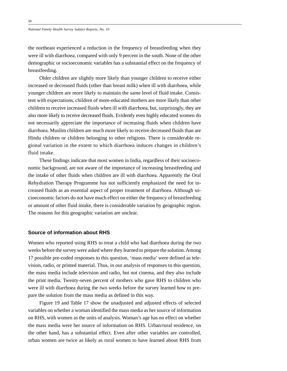the northeast experienced a reduction in the frequency of breastfeeding when they were ill with diarrhoea, compared with only 9 percent in the south. None of the other demographic or socioeconomic variables has a substantial effect on the frequency of breastfeeding.

Older children are slightly more likely than younger children to receive either increased or decreased fluids (other than breast milk) when ill with diarrhoea, while younger children are more likely to maintain the same level of fluid intake. Consistent with expectations, children of more-educated mothers are more likely than other children to receive increased fluids when ill with diarrhoea, but, surprisingly, they are also more likely to receive decreased fluids. Evidently even highly educated women do not necessarily appreciate the importance of increasing fluids when children have diarrhoea. Muslim children are much more likely to receive decreased fluids than are Hindu children or children belonging to other religions. There is considerable regional variation in the extent to which diarrhoea induces changes in children's fluid intake.

These findings indicate that most women in India, regardless of their socioeconomic background, are not aware of the importance of increasing breastfeeding and the intake of other fluids when children are ill with diarrhoea. Apparently the Oral Rehydration Therapy Programme has not sufficiently emphasized the need for increased fluids as an essential aspect of proper treatment of diarrhoea. Although socioeconomic factors do not have much effect on either the frequency of breastfeeding or amount of other fluid intake, there is considerable variation by geographic region. The reasons for this geographic variation are unclear.

# **Source of information about RHS**

Women who reported using RHS to treat a child who had diarrhoea during the two weeks before the survey were asked where they learned to prepare the solution. Among 17 possible pre-coded responses to this question, 'mass media' were defined as television, radio, or printed material. Thus, in our analysis of responses to this question, the mass media include television and radio, but not cinema, and they also include the print media. Twenty-seven percent of mothers who gave RHS to children who were ill with diarrhoea during the two weeks before the survey learned how to prepare the solution from the mass media as defined in this way.

Figure 19 and Table 17 show the unadjusted and adjusted effects of selected variables on whether a woman identified the mass media as her source of information on RHS, with women as the units of analysis. Woman's age has no effect on whether the mass media were her source of information on RHS. Urban/rural residence, on the other hand, has a substantial effect. Even after other variables are controlled, urban women are twice as likely as rural women to have learned about RHS from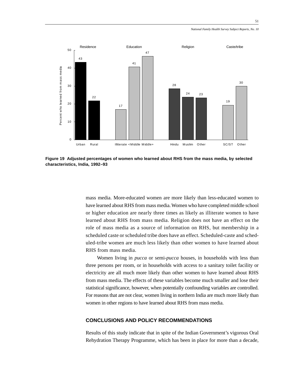*National Family Health Survey Subject Reports, No. 10*



**Figure 19 Adjusted percentages of women who learned about RHS from the mass media, by selected characteristics, India, 1992–93**

mass media. More-educated women are more likely than less-educated women to have learned about RHS from mass media. Women who have completed middle school or higher education are nearly three times as likely as illiterate women to have learned about RHS from mass media. Religion does not have an effect on the role of mass media as a source of information on RHS, but membership in a scheduled caste or scheduled tribe does have an effect. Scheduled-caste and scheduled-tribe women are much less likely than other women to have learned about RHS from mass media.

Women living in *pucca* or semi-*pucca* houses, in households with less than three persons per room, or in households with access to a sanitary toilet facility or electricity are all much more likely than other women to have learned about RHS from mass media. The effects of these variables become much smaller and lose their statistical significance, however, when potentially confounding variables are controlled. For reasons that are not clear, women living in northern India are much more likely than women in other regions to have learned about RHS from mass media.

# **CONCLUSIONS AND POLICY RECOMMENDATIONS**

Results of this study indicate that in spite of the Indian Government's vigorous Oral Rehydration Therapy Programme, which has been in place for more than a decade,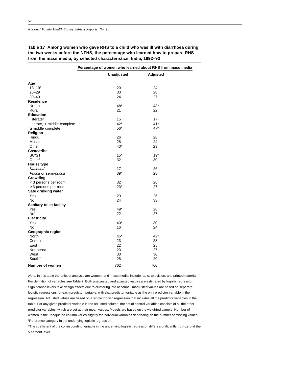**Table 17 Among women who gave RHS to a child who was ill with diarrhoea during the two weeks before the NFHS, the percentage who learned how to prepare RHS from the mass media, by selected characteristics, India, 1992–93**

|                                     | Percentage of women who learned about RHS from mass media |          |  |  |  |
|-------------------------------------|-----------------------------------------------------------|----------|--|--|--|
|                                     | <b>Unadjusted</b>                                         | Adjusted |  |  |  |
| Age                                 |                                                           |          |  |  |  |
| $13 - 19$ <sup>t</sup>              | 20                                                        | 24       |  |  |  |
| $20 - 29$                           | 30                                                        | 28       |  |  |  |
| $30 - 49$                           | 24                                                        | 27       |  |  |  |
| <b>Residence</b>                    |                                                           |          |  |  |  |
| Urban                               | 48*                                                       | $43*$    |  |  |  |
| Rural <sup>+</sup>                  | 21                                                        | 22       |  |  |  |
| <b>Education</b>                    |                                                           |          |  |  |  |
| Illiterate <sup>+</sup>             | 15                                                        | 17       |  |  |  |
| Literate, < middle complete         | $42*$                                                     | $41*$    |  |  |  |
| $\geq$ middle complete              | $56*$                                                     | $47*$    |  |  |  |
| Religion                            |                                                           |          |  |  |  |
| Hindu <sup>+</sup>                  | 26                                                        | 28       |  |  |  |
| Muslim                              | 28                                                        | 24       |  |  |  |
| Other                               | $40*$                                                     | 23       |  |  |  |
| <b>Caste/tribe</b>                  |                                                           |          |  |  |  |
| SC/ST                               | $15*$                                                     | $19*$    |  |  |  |
| Other <sup>†</sup>                  | 32                                                        | 30       |  |  |  |
| House type                          |                                                           |          |  |  |  |
| Kachcha <sup>t</sup>                | 17                                                        | 26       |  |  |  |
| Pucca or semi-pucca                 | $39*$                                                     | 28       |  |  |  |
| Crowding                            |                                                           |          |  |  |  |
| $<$ 3 persons per room <sup>+</sup> | 32                                                        | 28       |  |  |  |
| $\geq$ 3 persons per room           | $23*$                                                     | 27       |  |  |  |
| Safe drinking water                 |                                                           |          |  |  |  |
| Yes                                 | 29                                                        | 25       |  |  |  |
| No <sup>t</sup>                     | 24                                                        | 33       |  |  |  |
| Sanitary toilet facility            |                                                           |          |  |  |  |
| Yes                                 | 49*                                                       | 28       |  |  |  |
| No <sup>t</sup>                     | 22                                                        | 27       |  |  |  |
| Electricity                         |                                                           |          |  |  |  |
| Yes                                 | $40*$                                                     | 30       |  |  |  |
| No <sup>t</sup>                     | 16                                                        | 24       |  |  |  |
| Geographic region                   |                                                           |          |  |  |  |
| <b>North</b>                        | $45*$                                                     | $42*$    |  |  |  |
| Central                             | 23                                                        | 28       |  |  |  |
| East                                | 22                                                        | 25       |  |  |  |
| Northeast                           | 23                                                        | 27       |  |  |  |
| West                                | 33                                                        | 30       |  |  |  |
| South <sup>+</sup>                  | 28                                                        | 20       |  |  |  |
|                                     |                                                           |          |  |  |  |
| <b>Number of women</b>              | 762                                                       | 760      |  |  |  |

Note: In this table the units of analysis are women, and 'mass media' include radio, television, and printed material. For definition of variables see Table 7. Both unadjusted and adjusted values are estimated by logistic regression. Significance levels take design effects due to clustering into account. Unadjusted values are based on separate logistic regressions for each predictor variable, with that predictor variable as the only predictor variable in the regression. Adjusted values are based on a single logistic regression that includes all the predictor variables in the table. For any given predictor variable in the adjusted column, the set of control variables consists of all the other predictor variables, which are set at their mean values. Models are based on the weighted sample. Number of women in the unadjusted column varies slightly for individual variables depending on the number of missing values. † Reference category in the underlying logistic regression.

\*The coefficient of the corresponding variable in the underlying logistic regression differs significantly from zero at the 5 percent level.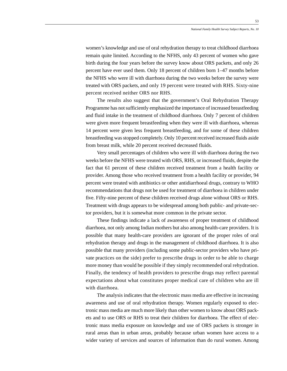women's knowledge and use of oral rehydration therapy to treat childhood diarrhoea remain quite limited. According to the NFHS, only 43 percent of women who gave birth during the four years before the survey know about ORS packets, and only 26 percent have ever used them. Only 18 percent of children born 1–47 months before the NFHS who were ill with diarrhoea during the two weeks before the survey were treated with ORS packets, and only 19 percent were treated with RHS. Sixty-nine percent received neither ORS nor RHS.

The results also suggest that the government's Oral Rehydration Therapy Programme has not sufficiently emphasized the importance of increased breastfeeding and fluid intake in the treatment of childhood diarrhoea. Only 7 percent of children were given more frequent breastfeeding when they were ill with diarrhoea, whereas 14 percent were given less frequent breastfeeding, and for some of these children breastfeeding was stopped completely. Only 10 percent received increased fluids aside from breast milk, while 20 percent received decreased fluids.

Very small percentages of children who were ill with diarrhoea during the two weeks before the NFHS were treated with ORS, RHS, or increased fluids, despite the fact that 61 percent of these children received treatment from a health facility or provider. Among those who received treatment from a health facility or provider, 94 percent were treated with antibiotics or other antidiarrhoeal drugs, contrary to WHO recommendations that drugs not be used for treatment of diarrhoea in children under five. Fifty-nine percent of these children received drugs alone without ORS or RHS. Treatment with drugs appears to be widespread among both public- and private-sector providers, but it is somewhat more common in the private sector.

These findings indicate a lack of awareness of proper treatment of childhood diarrhoea, not only among Indian mothers but also among health-care providers. It is possible that many health-care providers are ignorant of the proper roles of oral rehydration therapy and drugs in the management of childhood diarrhoea. It is also possible that many providers (including some public-sector providers who have private practices on the side) prefer to prescribe drugs in order to be able to charge more money than would be possible if they simply recommended oral rehydration. Finally, the tendency of health providers to prescribe drugs may reflect parental expectations about what constitutes proper medical care of children who are ill with diarrhoea.

The analysis indicates that the electronic mass media are effective in increasing awareness and use of oral rehydration therapy. Women regularly exposed to electronic mass media are much more likely than other women to know about ORS packets and to use ORS or RHS to treat their children for diarrhoea. The effect of electronic mass media exposure on knowledge and use of ORS packets is stronger in rural areas than in urban areas, probably because urban women have access to a wider variety of services and sources of information than do rural women. Among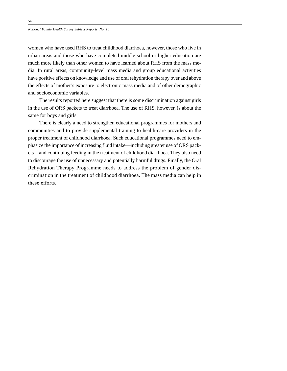women who have used RHS to treat childhood diarrhoea, however, those who live in urban areas and those who have completed middle school or higher education are much more likely than other women to have learned about RHS from the mass media. In rural areas, community-level mass media and group educational activities have positive effects on knowledge and use of oral rehydration therapy over and above the effects of mother's exposure to electronic mass media and of other demographic and socioeconomic variables.

The results reported here suggest that there is some discrimination against girls in the use of ORS packets to treat diarrhoea. The use of RHS, however, is about the same for boys and girls.

There is clearly a need to strengthen educational programmes for mothers and communities and to provide supplemental training to health-care providers in the proper treatment of childhood diarrhoea. Such educational programmes need to emphasize the importance of increasing fluid intake—including greater use of ORS packets—and continuing feeding in the treatment of childhood diarrhoea. They also need to discourage the use of unnecessary and potentially harmful drugs. Finally, the Oral Rehydration Therapy Programme needs to address the problem of gender discrimination in the treatment of childhood diarrhoea. The mass media can help in these efforts.